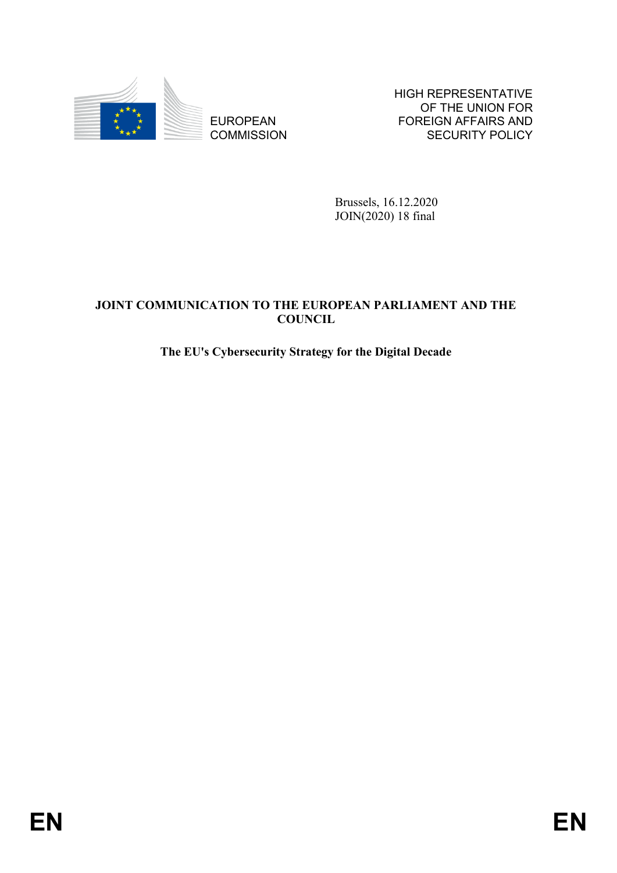

**COMMISSION** 

HIGH REPRESENTATIVE OF THE UNION FOR FOREIGN AFFAIRS AND SECURITY POLICY

Brussels, 16.12.2020 JOIN(2020) 18 final

# EUROPEAN FOREIGN FOREIGN PROFINES AND FOREIGN AFFAIRS AND COMMISSION<br> **ENDER IT (ACTION TO THE FILTADE AN PARTIAMENT AND THE**<br>
The EU's Cyberseurity Strategy for the Digital Decade<br> **ENR**<br> **ENR JOINT COMMUNICATION TO THE EUROPEAN PARLIAMENT AND THE COUNCIL**

# **The EU's Cybersecurity Strategy for the Digital Decade**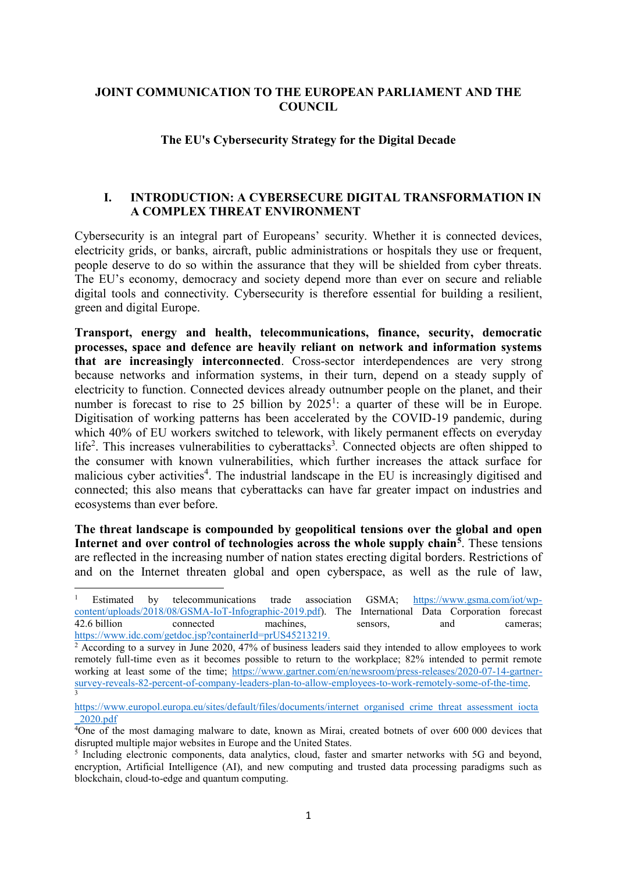### **JOINT COMMUNICATION TO THE EUROPEAN PARLIAMENT AND THE COUNCIL**

### **The EU's Cybersecurity Strategy for the Digital Decade**

### **I. INTRODUCTION: A CYBERSECURE DIGITAL TRANSFORMATION IN A COMPLEX THREAT ENVIRONMENT**

Cybersecurity is an integral part of Europeans' security. Whether it is connected devices, electricity grids, or banks, aircraft, public administrations or hospitals they use or frequent, people deserve to do so within the assurance that they will be shielded from cyber threats. The EU's economy, democracy and society depend more than ever on secure and reliable digital tools and connectivity. Cybersecurity is therefore essential for building a resilient, green and digital Europe.

**Transport, energy and health, telecommunications, finance, security, democratic processes, space and defence are heavily reliant on network and information systems that are increasingly interconnected**. Cross-sector interdependences are very strong because networks and information systems, in their turn, depend on a steady supply of electricity to function. Connected devices already outnumber people on the planet, and their number is forecast to rise to 25 billion by  $2025<sup>1</sup>$ : a quarter of these will be in Europe. Digitisation of working patterns has been accelerated by the COVID-19 pandemic, during which 40% of EU workers switched to telework, with likely permanent effects on everyday life<sup>2</sup>. This increases vulnerabilities to cyberattacks<sup>3</sup>. Connected objects are often shipped to the consumer with known vulnerabilities, which further increases the attack surface for malicious cyber activities<sup>4</sup>. The industrial landscape in the EU is increasingly digitised and connected; this also means that cyberattacks can have far greater impact on industries and ecosystems than ever before.

**The threat landscape is compounded by geopolitical tensions over the global and open Internet and over control of technologies across the whole supply chain<sup>5</sup>** . These tensions are reflected in the increasing number of nation states erecting digital borders. Restrictions of and on the Internet threaten global and open cyberspace, as well as the rule of law,

<sup>1</sup> Estimated by telecommunications trade association GSMA; [https://www.gsma.com/iot/wp](https://www.gsma.com/iot/wp-content/uploads/2018/08/GSMA-IoT-Infographic-2019.pdf)[content/uploads/2018/08/GSMA-IoT-Infographic-2019.pdf\)](https://www.gsma.com/iot/wp-content/uploads/2018/08/GSMA-IoT-Infographic-2019.pdf). The International Data Corporation forecast 42.6 billion connected machines, sensors, and cameras; [https://www.idc.com/getdoc.jsp?containerId=prUS45213219.](https://www.idc.com/getdoc.jsp?containerId=prUS45213219)

 $2$  According to a survey in June 2020, 47% of business leaders said they intended to allow employees to work remotely full-time even as it becomes possible to return to the workplace; 82% intended to permit remote working at least some of the time; [https://www.gartner.com/en/newsroom/press-releases/2020-07-14-gartner](https://www.gartner.com/en/newsroom/press-releases/2020-07-14-gartner-survey-reveals-82-percent-of-company-leaders-plan-to-allow-employees-to-work-remotely-some-of-the-time)[survey-reveals-82-percent-of-company-leaders-plan-to-allow-employees-to-work-remotely-some-of-the-time.](https://www.gartner.com/en/newsroom/press-releases/2020-07-14-gartner-survey-reveals-82-percent-of-company-leaders-plan-to-allow-employees-to-work-remotely-some-of-the-time) 3

[https://www.europol.europa.eu/sites/default/files/documents/internet\\_organised\\_crime\\_threat\\_assessment\\_iocta](https://www.europol.europa.eu/sites/default/files/documents/internet_organised_crime_threat_assessment_iocta_2020.pdf) [\\_2020.pdf](https://www.europol.europa.eu/sites/default/files/documents/internet_organised_crime_threat_assessment_iocta_2020.pdf)

 $40$ ne of the most damaging malware to date, known as Mirai, created botnets of over 600 000 devices that disrupted multiple major websites in Europe and the United States.

<sup>&</sup>lt;sup>5</sup> Including electronic components, data analytics, cloud, faster and smarter networks with 5G and beyond, encryption, Artificial Intelligence (AI), and new computing and trusted data processing paradigms such as blockchain, cloud-to-edge and quantum computing.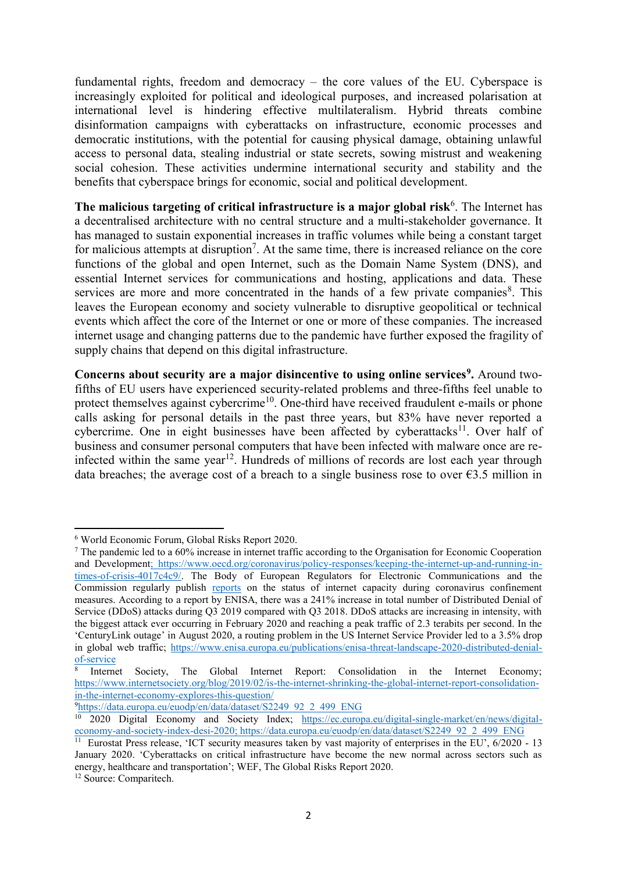fundamental rights, freedom and democracy – the core values of the EU. Cyberspace is increasingly exploited for political and ideological purposes, and increased polarisation at international level is hindering effective multilateralism. Hybrid threats combine disinformation campaigns with cyberattacks on infrastructure, economic processes and democratic institutions, with the potential for causing physical damage, obtaining unlawful access to personal data, stealing industrial or state secrets, sowing mistrust and weakening social cohesion. These activities undermine international security and stability and the benefits that cyberspace brings for economic, social and political development.

The malicious targeting of critical infrastructure is a major global risk<sup>6</sup>. The Internet has a decentralised architecture with no central structure and a multi-stakeholder governance. It has managed to sustain exponential increases in traffic volumes while being a constant target for malicious attempts at disruption<sup>7</sup>. At the same time, there is increased reliance on the core functions of the global and open Internet, such as the Domain Name System (DNS), and essential Internet services for communications and hosting, applications and data. These services are more and more concentrated in the hands of a few private companies<sup>8</sup>. This leaves the European economy and society vulnerable to disruptive geopolitical or technical events which affect the core of the Internet or one or more of these companies. The increased internet usage and changing patterns due to the pandemic have further exposed the fragility of supply chains that depend on this digital infrastructure.

**Concerns about security are a major disincentive to using online services<sup>9</sup> .** Around twofifths of EU users have experienced security-related problems and three-fifths feel unable to protect themselves against cybercrime<sup>10</sup>. One-third have received fraudulent e-mails or phone calls asking for personal details in the past three years, but 83% have never reported a cybercrime. One in eight businesses have been affected by cyberattacks<sup>11</sup>. Over half of business and consumer personal computers that have been infected with malware once are reinfected within the same year<sup>12</sup>. Hundreds of millions of records are lost each year through data breaches; the average cost of a breach to a single business rose to over  $\epsilon$ 3.5 million in

<sup>9</sup>[https://data.europa.eu/euodp/en/data/dataset/S2249\\_92\\_2\\_499\\_ENG](https://data.europa.eu/euodp/en/data/dataset/S2249_92_2_499_ENG)

**<sup>.</sup>** <sup>6</sup> World Economic Forum, Global Risks Report 2020.

<sup>7</sup> The pandemic led to a 60% increase in internet traffic according to the Organisation for Economic Cooperation and Development; [https://www.oecd.org/coronavirus/policy-responses/keeping-the-internet-up-and-running-in](https://www.oecd.org/coronavirus/policy-responses/keeping-the-internet-up-and-running-in-times-of-crisis-4017c4c9/)[times-of-crisis-4017c4c9/.](https://www.oecd.org/coronavirus/policy-responses/keeping-the-internet-up-and-running-in-times-of-crisis-4017c4c9/) The Body of European Regulators for Electronic Communications and the Commission regularly publish [reports](https://ec.europa.eu/digital-single-market/en/news/reports-status-internet-capacity-during-coronavirus-confinement-measures) on the status of internet capacity during coronavirus confinement measures. According to a report by ENISA, there was a 241% increase in total number of Distributed Denial of Service (DDoS) attacks during Q3 2019 compared with Q3 2018. DDoS attacks are increasing in intensity, with the biggest attack ever occurring in February 2020 and reaching a peak traffic of 2.3 terabits per second. In the '[CenturyLink outage](https://www.zdnet.com/article/centurylink-outage-led-to-a-3-5-drop-in-global-web-traffic/)' in August 2020, a routing problem in the US Internet Service Provider led to a 3.5% drop in global web traffic; [https://www.enisa.europa.eu/publications/enisa-threat-landscape-2020-distributed-denial](https://www.enisa.europa.eu/publications/enisa-threat-landscape-2020-distributed-denial-of-service)[of-service](https://www.enisa.europa.eu/publications/enisa-threat-landscape-2020-distributed-denial-of-service)

<sup>8</sup> Internet Society, The Global Internet Report: Consolidation in the Internet Economy; [https://www.internetsociety.org/blog/2019/02/is-the-internet-shrinking-the-global-internet-report-consolidation](https://www.internetsociety.org/blog/2019/02/is-the-internet-shrinking-the-global-internet-report-consolidation-in-the-internet-economy-explores-this-question/)[in-the-internet-economy-explores-this-question/](https://www.internetsociety.org/blog/2019/02/is-the-internet-shrinking-the-global-internet-report-consolidation-in-the-internet-economy-explores-this-question/)

<sup>&</sup>lt;sup>10</sup> 2020 Digital Economy and Society Index; [https://ec.europa.eu/digital-single-market/en/news/digital](https://ec.europa.eu/digital-single-market/en/news/digital-economy-and-society-index-desi-2020)[economy-and-society-index-desi-2020;](https://ec.europa.eu/digital-single-market/en/news/digital-economy-and-society-index-desi-2020) [https://data.europa.eu/euodp/en/data/dataset/S2249\\_92\\_2\\_499\\_ENG](https://data.europa.eu/euodp/en/data/dataset/S2249_92_2_499_ENG)<br><sup>11</sup> Eurostat Press release, 'ICT security measures taken by vast majority of enterprises in the EU', 6/2020 - 13

January 2020. 'Cyberattacks on critical infrastructure have become the new normal across sectors such as energy, healthcare and transportation'; WEF, The Global Risks Report 2020. <sup>12</sup> Source: Comparitech.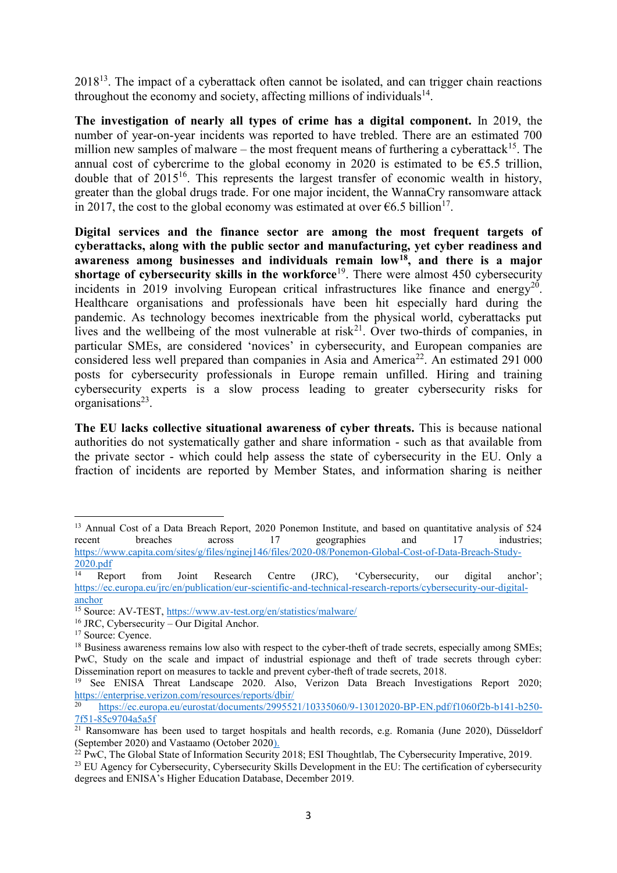$2018<sup>13</sup>$ . The impact of a cyberattack often cannot be isolated, and can trigger chain reactions throughout the economy and society, affecting millions of individuals $14$ .

**The investigation of nearly all types of crime has a digital component.** In 2019, the number of year-on-year incidents was reported to have trebled. There are an estimated 700 million new samples of malware – the most frequent means of furthering a cyberattack<sup>15</sup>. The annual cost of cybercrime to the global economy in 2020 is estimated to be  $\epsilon$ 5.5 trillion, double that of  $2015^{16}$ . This represents the largest transfer of economic wealth in history, greater than the global drugs trade. For one major incident, the WannaCry ransomware attack in 2017, the cost to the global economy was estimated at over  $\epsilon$ 6.5 billion<sup>17</sup>.

**Digital services and the finance sector are among the most frequent targets of cyberattacks, along with the public sector and manufacturing, yet cyber readiness and awareness among businesses and individuals remain low<sup>18</sup>, and there is a major shortage of cybersecurity skills in the workforce**<sup>19</sup>. There were almost 450 cybersecurity incidents in 2019 involving European critical infrastructures like finance and energy<sup>20</sup>. Healthcare organisations and professionals have been hit especially hard during the pandemic. As technology becomes inextricable from the physical world, cyberattacks put lives and the wellbeing of the most vulnerable at risk<sup>21</sup>. Over two-thirds of companies, in particular SMEs, are considered 'novices' in cybersecurity, and European companies are considered less well prepared than companies in Asia and America<sup>22</sup>. An estimated 291 000 posts for cybersecurity professionals in Europe remain unfilled. Hiring and training cybersecurity experts is a slow process leading to greater cybersecurity risks for organisations<sup>23</sup>.

**The EU lacks collective situational awareness of cyber threats.** This is because national authorities do not systematically gather and share information - such as that available from the private sector - which could help assess the state of cybersecurity in the EU. Only a fraction of incidents are reported by Member States, and information sharing is neither

**<sup>.</sup>** <sup>13</sup> Annual Cost of a Data Breach Report, 2020 Ponemon Institute, and based on quantitative analysis of 524 recent breaches across 17 geographies and 17 industries; recent breaches across 17 geographies and 17 industries; [https://www.capita.com/sites/g/files/nginej146/files/2020-08/Ponemon-Global-Cost-of-Data-Breach-Study-](https://www.capita.com/sites/g/files/nginej146/files/2020-08/Ponemon-Global-Cost-of-Data-Breach-Study-2020.pdf)

 $\frac{2020.pdf}{14}$  $\frac{2020.pdf}{14}$  $\frac{2020.pdf}{14}$  Report from Joint Research Centre (JRC), 'Cybersecurity, our digital anchor'; [https://ec.europa.eu/jrc/en/publication/eur-scientific-and-technical-research-reports/cybersecurity-our-digital](https://ec.europa.eu/jrc/en/publication/eur-scientific-and-technical-research-reports/cybersecurity-our-digital-anchor)[anchor](https://ec.europa.eu/jrc/en/publication/eur-scientific-and-technical-research-reports/cybersecurity-our-digital-anchor)

<sup>&</sup>lt;sup>15</sup> Source: AV-TEST[, https://www.av-test.org/en/statistics/malware/](https://www.av-test.org/en/statistics/malware/)

<sup>16</sup> JRC, Cybersecurity – Our Digital Anchor.

<sup>&</sup>lt;sup>17</sup> Source: Cyence.

<sup>&</sup>lt;sup>18</sup> Business awareness remains low also with respect to the cyber-theft of trade secrets, especially among SMEs; PwC, Study on the scale and impact of industrial espionage and theft of trade secrets through cyber: Dissemination report on measures to tackle and prevent cyber-theft of trade secrets, 2018.

<sup>19</sup> See ENISA Threat Landscape 2020. Also, Verizon Data Breach Investigations Report 2020; <https://enterprise.verizon.com/resources/reports/dbir/><br>20 https://--

<sup>20</sup> [https://ec.europa.eu/eurostat/documents/2995521/10335060/9-13012020-BP-EN.pdf/f1060f2b-b141-b250-](https://ec.europa.eu/eurostat/documents/2995521/10335060/9-13012020-BP-EN.pdf/f1060f2b-b141-b250-7f51-85c9704a5a5f) [7f51-85c9704a5a5f](https://ec.europa.eu/eurostat/documents/2995521/10335060/9-13012020-BP-EN.pdf/f1060f2b-b141-b250-7f51-85c9704a5a5f)

 $21$  Ransomware has been used to target hospitals and health records, e.g. Romania (June 2020), Düsseldorf (September 2020) and Vastaamo (October 2020).

 $22$  PwC, The Global State of Information Security 2018; ESI Thoughtlab, The Cybersecurity Imperative, 2019.

<sup>&</sup>lt;sup>23</sup> EU Agency for Cybersecurity, Cybersecurity Skills Development in the EU: The certification of cybersecurity degrees and ENISA's Higher Education Database, December 2019.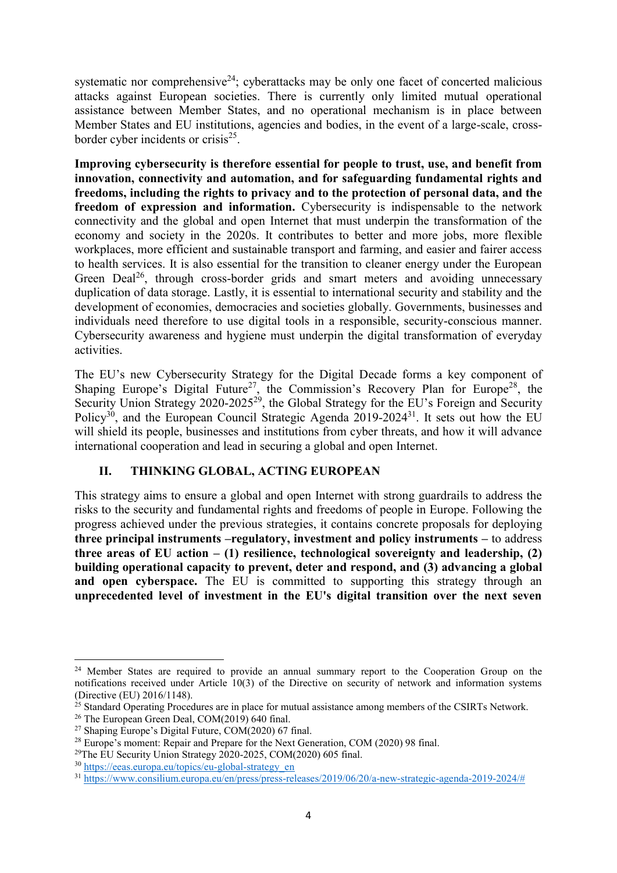systematic nor comprehensive<sup>24</sup>; cyberattacks may be only one facet of concerted malicious attacks against European societies. There is currently only limited mutual operational assistance between Member States, and no operational mechanism is in place between Member States and EU institutions, agencies and bodies, in the event of a large-scale, crossborder cyber incidents or crisis $^{25}$ .

**Improving cybersecurity is therefore essential for people to trust, use, and benefit from innovation, connectivity and automation, and for safeguarding fundamental rights and freedoms, including the rights to privacy and to the protection of personal data, and the freedom of expression and information.** Cybersecurity is indispensable to the network connectivity and the global and open Internet that must underpin the transformation of the economy and society in the 2020s. It contributes to better and more jobs, more flexible workplaces, more efficient and sustainable transport and farming, and easier and fairer access to health services. It is also essential for the transition to cleaner energy under the European Green Deal<sup>26</sup>, through cross-border grids and smart meters and avoiding unnecessary duplication of data storage. Lastly, it is essential to international security and stability and the development of economies, democracies and societies globally. Governments, businesses and individuals need therefore to use digital tools in a responsible, security-conscious manner. Cybersecurity awareness and hygiene must underpin the digital transformation of everyday activities.

The EU's new Cybersecurity Strategy for the Digital Decade forms a key component of Shaping Europe's Digital Future<sup>27</sup>, the Commission's Recovery Plan for Europe<sup>28</sup>, the Security Union Strategy 2020-2025<sup>29</sup>, the Global Strategy for the EU's Foreign and Security Policy<sup>30</sup>, and the European Council Strategic Agenda  $2019-2024^{31}$ . It sets out how the EU will shield its people, businesses and institutions from cyber threats, and how it will advance international cooperation and lead in securing a global and open Internet.

### **II. THINKING GLOBAL, ACTING EUROPEAN**

This strategy aims to ensure a global and open Internet with strong guardrails to address the risks to the security and fundamental rights and freedoms of people in Europe. Following the progress achieved under the previous strategies, it contains concrete proposals for deploying **three principal instruments –regulatory, investment and policy instruments –** to address three areas of EU action  $- (1)$  resilience, technological sovereignty and leadership,  $(2)$ **building operational capacity to prevent, deter and respond, and (3) advancing a global**  and open cyberspace. The EU is committed to supporting this strategy through an **unprecedented level of investment in the EU's digital transition over the next seven** 

**<sup>.</sup>** <sup>24</sup> Member States are required to provide an annual summary report to the Cooperation Group on the notifications received under Article 10(3) of the Directive on security of network and information systems (Directive (EU) 2016/1148).

<sup>&</sup>lt;sup>25</sup> Standard Operating Procedures are in place for mutual assistance among members of the CSIRTs Network.

<sup>&</sup>lt;sup>26</sup> The European Green Deal, COM(2019) 640 final.

<sup>&</sup>lt;sup>27</sup> Shaping Europe's Digital Future,  $COM(2020)$  67 final.

<sup>&</sup>lt;sup>28</sup> Europe's moment: Repair and Prepare for the Next Generation, COM (2020) 98 final.

<sup>29</sup>The EU Security Union Strategy 2020-2025, COM(2020) 605 final.

<sup>30</sup> [https://eeas.europa.eu/topics/eu-global-strategy\\_en](https://eeas.europa.eu/topics/eu-global-strategy_en)

<sup>31</sup> [https://www.consilium.europa.eu/en/press/press-releases/2019/06/20/a-new-strategic-agenda-2019-2024/#](https://www.consilium.europa.eu/en/press/press-releases/2019/06/20/a-new-strategic-agenda-2019-2024/)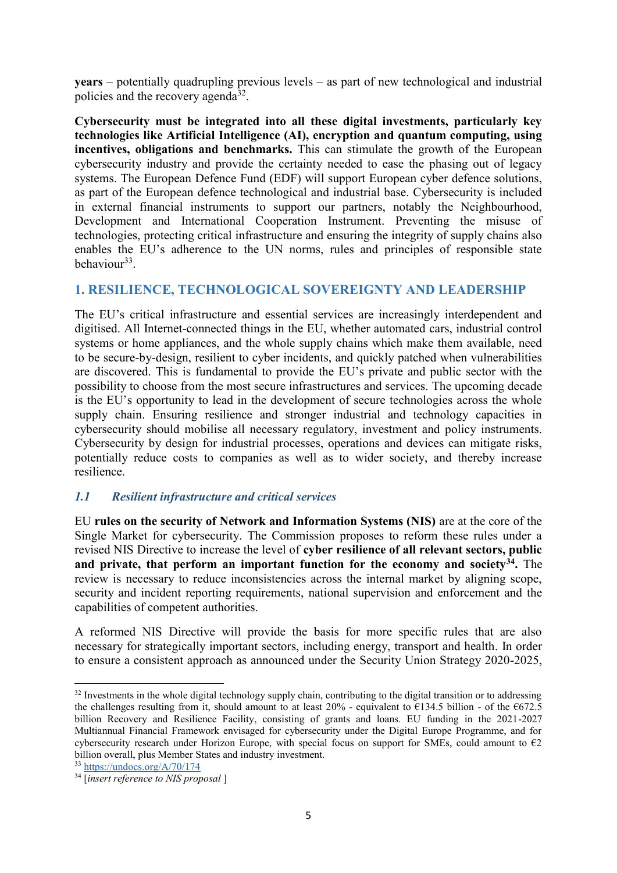**years** – potentially quadrupling previous levels – as part of new technological and industrial policies and the recovery agenda<sup>32</sup>.

**Cybersecurity must be integrated into all these digital investments, particularly key technologies like Artificial Intelligence (AI), encryption and quantum computing, using incentives, obligations and benchmarks.** This can stimulate the growth of the European cybersecurity industry and provide the certainty needed to ease the phasing out of legacy systems. The European Defence Fund (EDF) will support European cyber defence solutions, as part of the European defence technological and industrial base. Cybersecurity is included in external financial instruments to support our partners, notably the Neighbourhood, Development and International Cooperation Instrument. Preventing the misuse of technologies, protecting critical infrastructure and ensuring the integrity of supply chains also enables the EU's adherence to the UN norms, rules and principles of responsible state behaviour<sup>33</sup>.

### **1. RESILIENCE, TECHNOLOGICAL SOVEREIGNTY AND LEADERSHIP**

The EU's critical infrastructure and essential services are increasingly interdependent and digitised. All Internet-connected things in the EU, whether automated cars, industrial control systems or home appliances, and the whole supply chains which make them available, need to be secure-by-design, resilient to cyber incidents, and quickly patched when vulnerabilities are discovered. This is fundamental to provide the EU's private and public sector with the possibility to choose from the most secure infrastructures and services. The upcoming decade is the EU's opportunity to lead in the development of secure technologies across the whole supply chain. Ensuring resilience and stronger industrial and technology capacities in cybersecurity should mobilise all necessary regulatory, investment and policy instruments. Cybersecurity by design for industrial processes, operations and devices can mitigate risks, potentially reduce costs to companies as well as to wider society, and thereby increase resilience.

### *1.1 Resilient infrastructure and critical services*

EU **rules on the security of Network and Information Systems (NIS)** are at the core of the Single Market for cybersecurity. The Commission proposes to reform these rules under a revised NIS Directive to increase the level of **cyber resilience of all relevant sectors, public and private, that perform an important function for the economy and society<sup>34</sup> .** The review is necessary to reduce inconsistencies across the internal market by aligning scope, security and incident reporting requirements, national supervision and enforcement and the capabilities of competent authorities.

A reformed NIS Directive will provide the basis for more specific rules that are also necessary for strategically important sectors, including energy, transport and health. In order to ensure a consistent approach as announced under the Security Union Strategy 2020-2025,

1

<sup>&</sup>lt;sup>32</sup> Investments in the whole digital technology supply chain, contributing to the digital transition or to addressing the challenges resulting from it, should amount to at least  $20\%$  - equivalent to  $\epsilon$ 134.5 billion - of the  $\epsilon$ 672.5 billion Recovery and Resilience Facility, consisting of grants and loans. EU funding in the 2021-2027 Multiannual Financial Framework envisaged for cybersecurity under the Digital Europe Programme, and for cybersecurity research under Horizon Europe, with special focus on support for SMEs, could amount to  $\epsilon_2$ billion overall, plus Member States and industry investment.

<sup>33</sup> <https://undocs.org/A/70/174>

<sup>34</sup> [*insert reference to NIS proposal* ]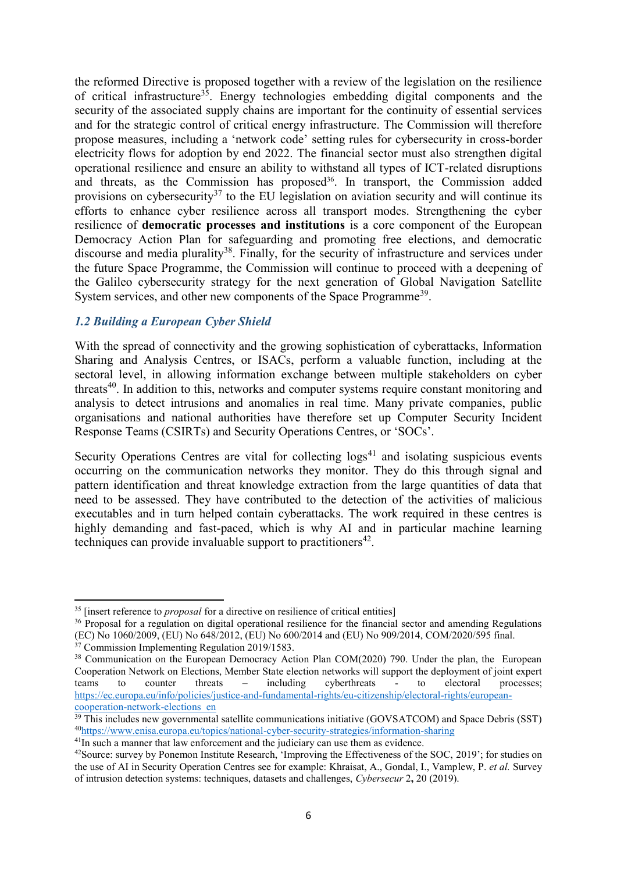the reformed Directive is proposed together with a review of the legislation on the resilience of critical infrastructure<sup>35</sup>. Energy technologies embedding digital components and the security of the associated supply chains are important for the continuity of essential services and for the strategic control of critical energy infrastructure. The Commission will therefore propose measures, including a 'network code' setting rules for cybersecurity in cross-border electricity flows for adoption by end 2022. The financial sector must also strengthen digital operational resilience and ensure an ability to withstand all types of ICT-related disruptions and threats, as the Commission has proposed<sup>36</sup>. In transport, the Commission added provisions on cybersecurity<sup>37</sup> to the EU legislation on aviation security and will continue its efforts to enhance cyber resilience across all transport modes. Strengthening the cyber resilience of **democratic processes and institutions** is a core component of the European Democracy Action Plan for safeguarding and promoting free elections, and democratic discourse and media plurality<sup>38</sup>. Finally, for the security of infrastructure and services under the future Space Programme, the Commission will continue to proceed with a deepening of the Galileo cybersecurity strategy for the next generation of Global Navigation Satellite System services, and other new components of the Space Programme<sup>39</sup>.

### *1.2 Building a European Cyber Shield*

With the spread of connectivity and the growing sophistication of cyberattacks, Information Sharing and Analysis Centres, or ISACs, perform a valuable function, including at the sectoral level, in allowing information exchange between multiple stakeholders on cyber threats<sup>40</sup>. In addition to this, networks and computer systems require constant monitoring and analysis to detect intrusions and anomalies in real time. Many private companies, public organisations and national authorities have therefore set up Computer Security Incident Response Teams (CSIRTs) and Security Operations Centres, or 'SOCs'.

Security Operations Centres are vital for collecting  $\log s^{41}$  and isolating suspicious events occurring on the communication networks they monitor. They do this through signal and pattern identification and threat knowledge extraction from the large quantities of data that need to be assessed. They have contributed to the detection of the activities of malicious executables and in turn helped contain cyberattacks. The work required in these centres is highly demanding and fast-paced, which is why AI and in particular machine learning techniques can provide invaluable support to practitioners<sup>42</sup>.

<sup>35</sup> [insert reference to *proposal* for a directive on resilience of critical entities]

<sup>&</sup>lt;sup>36</sup> Proposal for a regulation on digital operational resilience for the financial sector and amending Regulations (EC) No 1060/2009, (EU) No 648/2012, (EU) No 600/2014 and (EU) No 909/2014, COM/2020/595 final.

 $37$  Commission Implementing Regulation 2019/1583.

<sup>&</sup>lt;sup>38</sup> Communication on the European Democracy Action Plan COM(2020) 790. Under the plan, the European Cooperation Network on Elections, Member State election networks will support the deployment of joint expert teams to counter threats – including cyberthreats - to electoral processes; [https://ec.europa.eu/info/policies/justice-and-fundamental-rights/eu-citizenship/electoral-rights/european](https://ec.europa.eu/info/policies/justice-and-fundamental-rights/eu-citizenship/electoral-rights/european-cooperation-network-elections_en)[cooperation-network-elections\\_en](https://ec.europa.eu/info/policies/justice-and-fundamental-rights/eu-citizenship/electoral-rights/european-cooperation-network-elections_en)

<sup>&</sup>lt;sup>39</sup> This includes new governmental satellite communications initiative (GOVSATCOM) and Space Debris (SST) <sup>40</sup><https://www.enisa.europa.eu/topics/national-cyber-security-strategies/information-sharing>

<sup>&</sup>lt;sup>41</sup>In such a manner that law enforcement and the judiciary can use them as evidence.

<sup>&</sup>lt;sup>42</sup>Source: survey by Ponemon Institute Research, 'Improving the Effectiveness of the SOC, 2019'; for studies on the use of AI in Security Operation Centres see for example: Khraisat, A., Gondal, I., Vamplew, P. *et al.* Survey of intrusion detection systems: techniques, datasets and challenges, *Cybersecur* 2**,** 20 (2019).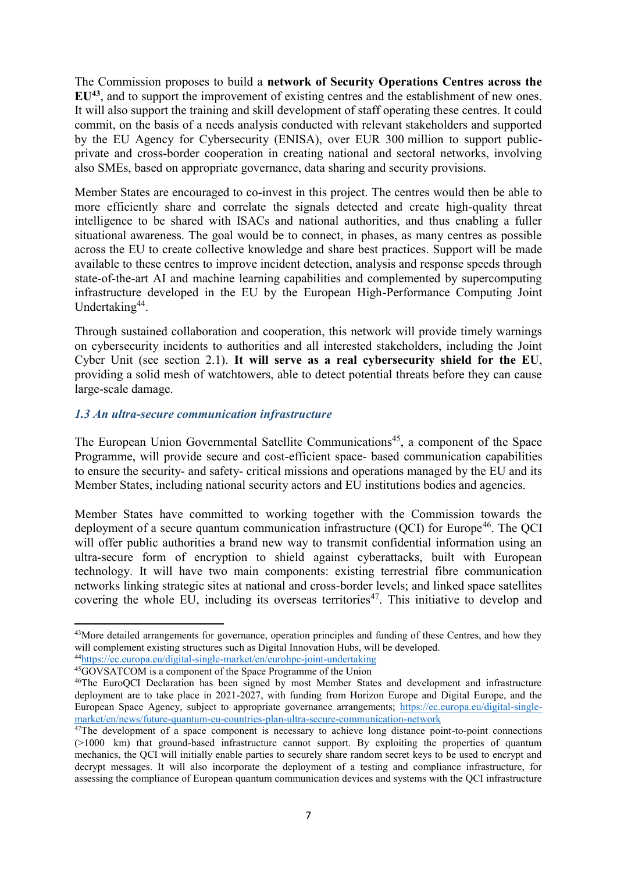The Commission proposes to build a **network of Security Operations Centres across the EU<sup>43</sup>** , and to support the improvement of existing centres and the establishment of new ones. It will also support the training and skill development of staff operating these centres. It could commit, on the basis of a needs analysis conducted with relevant stakeholders and supported by the EU Agency for Cybersecurity (ENISA), over EUR 300 million to support publicprivate and cross-border cooperation in creating national and sectoral networks, involving also SMEs, based on appropriate governance, data sharing and security provisions.

Member States are encouraged to co-invest in this project. The centres would then be able to more efficiently share and correlate the signals detected and create high-quality threat intelligence to be shared with ISACs and national authorities, and thus enabling a fuller situational awareness. The goal would be to connect, in phases, as many centres as possible across the EU to create collective knowledge and share best practices. Support will be made available to these centres to improve incident detection, analysis and response speeds through state-of-the-art AI and machine learning capabilities and complemented by supercomputing infrastructure developed in the EU by the European High-Performance Computing Joint Undertaking<sup>44</sup>.

Through sustained collaboration and cooperation, this network will provide timely warnings on cybersecurity incidents to authorities and all interested stakeholders, including the Joint Cyber Unit (see section 2.1). **It will serve as a real cybersecurity shield for the EU**, providing a solid mesh of watchtowers, able to detect potential threats before they can cause large-scale damage.

### *1.3 An ultra-secure communication infrastructure*

The European Union Governmental Satellite Communications<sup>45</sup>, a component of the Space Programme, will provide secure and cost-efficient space- based communication capabilities to ensure the security- and safety- critical missions and operations managed by the EU and its Member States, including national security actors and EU institutions bodies and agencies.

Member States have committed to working together with the Commission towards the deployment of a secure quantum communication infrastructure  $(OCI)$  for Europe<sup>46</sup>. The  $OCI$ will offer public authorities a brand new way to transmit confidential information using an ultra-secure form of encryption to shield against cyberattacks, built with European technology. It will have two main components: existing terrestrial fibre communication networks linking strategic sites at national and cross-border levels; and linked space satellites covering the whole  $E\overline{U}$ , including its overseas territories<sup>47</sup>. This initiative to develop and

<sup>&</sup>lt;sup>43</sup>More detailed arrangements for governance, operation principles and funding of these Centres, and how they will complement existing structures such as Digital Innovation Hubs, will be developed.

<sup>44</sup><https://ec.europa.eu/digital-single-market/en/eurohpc-joint-undertaking>

<sup>45</sup>GOVSATCOM is a component of the Space Programme of the Union

<sup>46</sup>The EuroQCI Declaration has been signed by most Member States and development and infrastructure deployment are to take place in 2021-2027, with funding from Horizon Europe and Digital Europe, and the European Space Agency, subject to appropriate governance arrangements; [https://ec.europa.eu/digital-single](https://ec.europa.eu/digital-single-market/en/news/future-quantum-eu-countries-plan-ultra-secure-communication-network)[market/en/news/future-quantum-eu-countries-plan-ultra-secure-communication-network](https://ec.europa.eu/digital-single-market/en/news/future-quantum-eu-countries-plan-ultra-secure-communication-network)

<sup>&</sup>lt;sup>47</sup>The development of a space component is necessary to achieve long distance point-to-point connections (>1000 km) that ground-based infrastructure cannot support. By exploiting the properties of quantum mechanics, the QCI will initially enable parties to securely share random secret keys to be used to encrypt and decrypt messages. It will also incorporate the deployment of a testing and compliance infrastructure, for assessing the compliance of European quantum communication devices and systems with the QCI infrastructure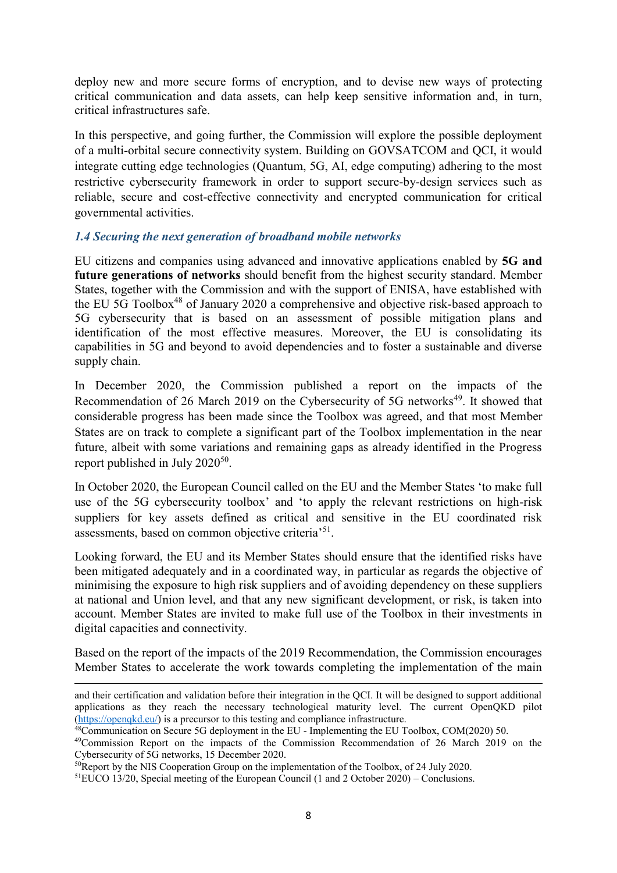deploy new and more secure forms of encryption, and to devise new ways of protecting critical communication and data assets, can help keep sensitive information and, in turn, critical infrastructures safe.

In this perspective, and going further, the Commission will explore the possible deployment of a multi-orbital secure connectivity system. Building on GOVSATCOM and QCI, it would integrate cutting edge technologies (Quantum, 5G, AI, edge computing) adhering to the most restrictive cybersecurity framework in order to support secure-by-design services such as reliable, secure and cost-effective connectivity and encrypted communication for critical governmental activities.

### *1.4 Securing the next generation of broadband mobile networks*

EU citizens and companies using advanced and innovative applications enabled by **5G and future generations of networks** should benefit from the highest security standard. Member States, together with the Commission and with the support of ENISA, have established with the EU 5G Toolbox<sup>48</sup> of January 2020 a comprehensive and objective risk-based approach to 5G cybersecurity that is based on an assessment of possible mitigation plans and identification of the most effective measures. Moreover, the EU is consolidating its capabilities in 5G and beyond to avoid dependencies and to foster a sustainable and diverse supply chain.

In December 2020, the Commission published a report on the impacts of the Recommendation of 26 March 2019 on the Cybersecurity of 5G networks<sup>49</sup>. It showed that considerable progress has been made since the Toolbox was agreed, and that most Member States are on track to complete a significant part of the Toolbox implementation in the near future, albeit with some variations and remaining gaps as already identified in the Progress report published in July  $2020^{50}$ .

In October 2020, the European Council called on the EU and the Member States 'to make full use of the 5G cybersecurity toolbox' and 'to apply the relevant restrictions on high-risk suppliers for key assets defined as critical and sensitive in the EU coordinated risk assessments, based on common objective criteria<sup>'51</sup>.

Looking forward, the EU and its Member States should ensure that the identified risks have been mitigated adequately and in a coordinated way, in particular as regards the objective of minimising the exposure to high risk suppliers and of avoiding dependency on these suppliers at national and Union level, and that any new significant development, or risk, is taken into account. Member States are invited to make full use of the Toolbox in their investments in digital capacities and connectivity.

Based on the report of the impacts of the 2019 Recommendation, the Commission encourages Member States to accelerate the work towards completing the implementation of the main

1

and their certification and validation before their integration in the QCI. It will be designed to support additional applications as they reach the necessary technological maturity level. The current OpenQKD pilot [\(https://openqkd.eu/\)](https://openqkd.eu/) is a precursor to this testing and compliance infrastructure.

<sup>48</sup>Communication on Secure 5G deployment in the EU - Implementing the EU Toolbox, COM(2020) 50.

<sup>&</sup>lt;sup>49</sup>Commission Report on the impacts of the Commission Recommendation of 26 March 2019 on the Cybersecurity of 5G networks, 15 December 2020.

<sup>&</sup>lt;sup>50</sup>Report by the NIS Cooperation Group on the implementation of the Toolbox, of 24 July 2020.

<sup>&</sup>lt;sup>51</sup>EUCO 13/20, Special meeting of the European Council (1 and 2 October 2020) – Conclusions.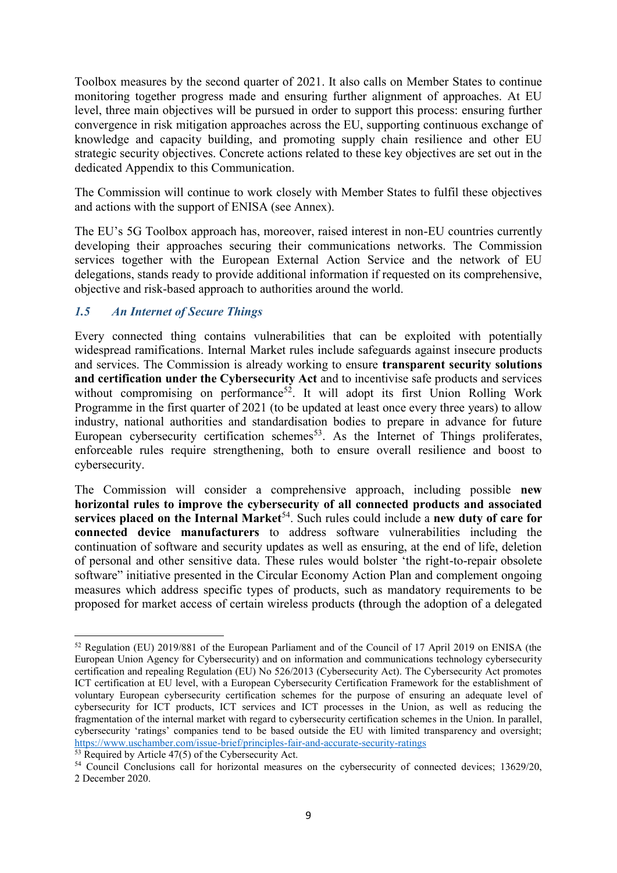Toolbox measures by the second quarter of 2021. It also calls on Member States to continue monitoring together progress made and ensuring further alignment of approaches. At EU level, three main objectives will be pursued in order to support this process: ensuring further convergence in risk mitigation approaches across the EU, supporting continuous exchange of knowledge and capacity building, and promoting supply chain resilience and other EU strategic security objectives. Concrete actions related to these key objectives are set out in the dedicated Appendix to this Communication.

The Commission will continue to work closely with Member States to fulfil these objectives and actions with the support of ENISA (see Annex).

The EU's 5G Toolbox approach has, moreover, raised interest in non-EU countries currently developing their approaches securing their communications networks. The Commission services together with the European External Action Service and the network of EU delegations, stands ready to provide additional information if requested on its comprehensive, objective and risk-based approach to authorities around the world.

### *1.5 An Internet of Secure Things*

Every connected thing contains vulnerabilities that can be exploited with potentially widespread ramifications. Internal Market rules include safeguards against insecure products and services. The Commission is already working to ensure **transparent security solutions and certification under the Cybersecurity Act** and to incentivise safe products and services without compromising on performance<sup>52</sup>. It will adopt its first Union Rolling Work Programme in the first quarter of 2021 (to be updated at least once every three years) to allow industry, national authorities and standardisation bodies to prepare in advance for future European cybersecurity certification schemes<sup>53</sup>. As the Internet of Things proliferates, enforceable rules require strengthening, both to ensure overall resilience and boost to cybersecurity.

The Commission will consider a comprehensive approach, including possible **new horizontal rules to improve the cybersecurity of all connected products and associated services placed on the Internal Market**<sup>54</sup>. Such rules could include a **new duty of care for connected device manufacturers** to address software vulnerabilities including the continuation of software and security updates as well as ensuring, at the end of life, deletion of personal and other sensitive data. These rules would bolster 'the right-to-repair obsolete software" initiative presented in the Circular Economy Action Plan and complement ongoing measures which address specific types of products, such as mandatory requirements to be proposed for market access of certain wireless products **(**through the adoption of a delegated

**<sup>.</sup>** <sup>52</sup> Regulation (EU) 2019/881 of the European Parliament and of the Council of 17 April 2019 on ENISA (the European Union Agency for Cybersecurity) and on information and communications technology cybersecurity certification and repealing Regulation (EU) No 526/2013 (Cybersecurity Act). The Cybersecurity Act promotes ICT certification at EU level, with a European Cybersecurity Certification Framework for the establishment of voluntary European cybersecurity certification schemes for the purpose of ensuring an adequate level of cybersecurity for ICT products, ICT services and ICT processes in the Union, as well as reducing the fragmentation of the internal market with regard to cybersecurity certification schemes in the Union. In parallel, cybersecurity 'ratings' companies tend to be based outside the EU with limited transparency and oversight; <https://www.uschamber.com/issue-brief/principles-fair-and-accurate-security-ratings>

 $\frac{53}{13}$  Required by Article 47(5) of the Cybersecurity Act.

<sup>&</sup>lt;sup>54</sup> Council Conclusions call for horizontal measures on the cybersecurity of connected devices; 13629/20, 2 December 2020.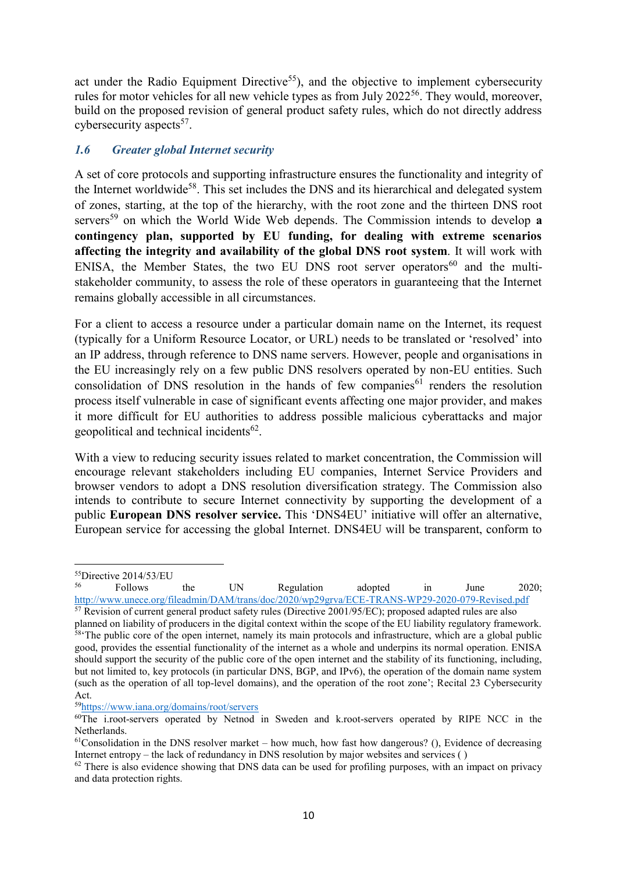act under the Radio Equipment Directive<sup>55</sup>), and the objective to implement cybersecurity rules for motor vehicles for all new vehicle types as from July 2022<sup>56</sup>. They would, moreover, build on the proposed revision of general product safety rules, which do not directly address cybersecurity aspects<sup>57</sup>.

### *1.6 Greater global Internet security*

A set of core protocols and supporting infrastructure ensures the functionality and integrity of the Internet worldwide<sup>58</sup>. This set includes the DNS and its hierarchical and delegated system of zones, starting, at the top of the hierarchy, with the root zone and the thirteen DNS root servers<sup>59</sup> on which the World Wide Web depends. The Commission intends to develop **a contingency plan, supported by EU funding, for dealing with extreme scenarios affecting the integrity and availability of the global DNS root system**. It will work with ENISA, the Member States, the two EU DNS root server operators<sup>60</sup> and the multistakeholder community, to assess the role of these operators in guaranteeing that the Internet remains globally accessible in all circumstances.

For a client to access a resource under a particular domain name on the Internet, its request (typically for a Uniform Resource Locator, or URL) needs to be translated or 'resolved' into an IP address, through reference to DNS name servers. However, people and organisations in the EU increasingly rely on a few public DNS resolvers operated by non-EU entities. Such consolidation of DNS resolution in the hands of few companies<sup>61</sup> renders the resolution process itself vulnerable in case of significant events affecting one major provider, and makes it more difficult for EU authorities to address possible malicious cyberattacks and major geopolitical and technical incidents<sup>62</sup>.

With a view to reducing security issues related to market concentration, the Commission will encourage relevant stakeholders including EU companies, Internet Service Providers and browser vendors to adopt a DNS resolution diversification strategy. The Commission also intends to contribute to secure Internet connectivity by supporting the development of a public **European DNS resolver service.** This 'DNS4EU' initiative will offer an alternative, European service for accessing the global Internet. DNS4EU will be transparent, conform to

**.** 

<sup>56</sup> Follows the UN Regulation adopted in June 2020; <http://www.unece.org/fileadmin/DAM/trans/doc/2020/wp29grva/ECE-TRANS-WP29-2020-079-Revised.pdf>

<sup>57</sup> Revision of current general product safety rules (Directive 2001/95/EC); proposed adapted rules are also planned on liability of producers in the digital context within the scope of the EU liability regulatory framework. <sup>58</sup>The public core of the open internet, namely its main protocols and infrastructure, which are a global public good, provides the essential functionality of the internet as a whole and underpins its normal operation. ENISA should support the security of the public core of the open internet and the stability of its functioning, including, but not limited to, key protocols (in particular DNS, BGP, and IPv6), the operation of the domain name system (such as the operation of all top-level domains), and the operation of the root zone'; Recital 23 Cybersecurity Act.

<sup>59</sup><https://www.iana.org/domains/root/servers>

 $^{55}$ Directive 2014/53/EU<br> $^{56}$  Eollows

 $60$ The i.root-servers operated by Netnod in Sweden and k.root-servers operated by RIPE NCC in the Netherlands.

 $61$ Consolidation in the DNS resolver market – how much, how fast how dangerous? (), Evidence of decreasing Internet entropy – the lack of redundancy in DNS resolution by major websites and services ( )

<sup>&</sup>lt;sup>62</sup> There is also evidence showing that DNS data can be used for profiling purposes, with an impact on privacy and data protection rights.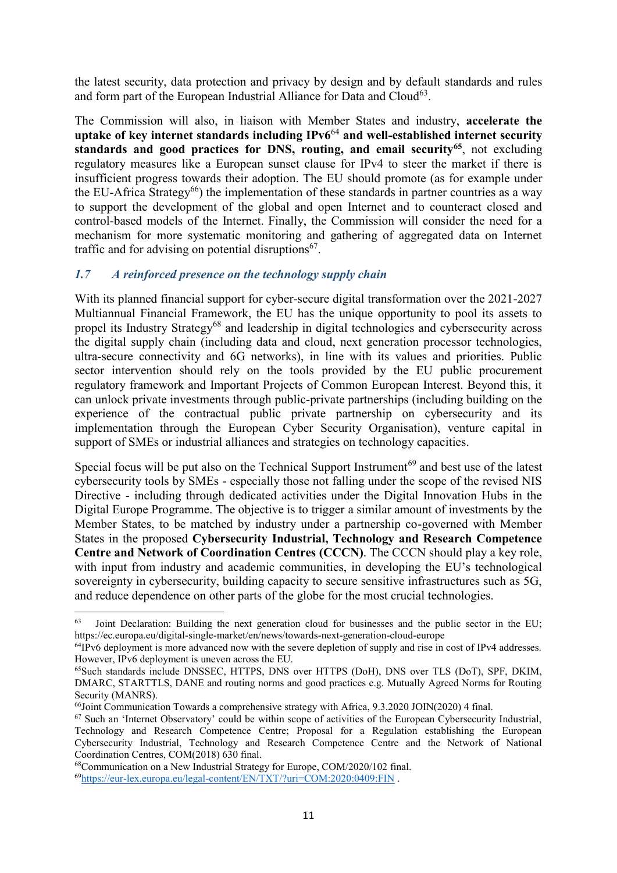the latest security, data protection and privacy by design and by default standards and rules and form part of the European Industrial Alliance for Data and Cloud<sup>63</sup>.

The Commission will also, in liaison with Member States and industry, **accelerate the uptake of key internet standards including IPv6**<sup>64</sup> **and well-established internet security standards and good practices for DNS, routing, and email security<sup>65</sup>**, not excluding regulatory measures like a European sunset clause for IPv4 to steer the market if there is insufficient progress towards their adoption. The EU should promote (as for example under the EU-Africa Strategy<sup>66</sup>) the implementation of these standards in partner countries as a way to support the development of the global and open Internet and to counteract closed and control-based models of the Internet. Finally, the Commission will consider the need for a mechanism for more systematic monitoring and gathering of aggregated data on Internet traffic and for advising on potential disruptions<sup>67</sup>.

## *1.7 A reinforced presence on the technology supply chain*

With its planned financial support for cyber-secure digital transformation over the 2021-2027 Multiannual Financial Framework, the EU has the unique opportunity to pool its assets to propel its Industry Strategy<sup>68</sup> and leadership in digital technologies and cybersecurity across the digital supply chain (including data and cloud, next generation processor technologies, ultra-secure connectivity and 6G networks), in line with its values and priorities. Public sector intervention should rely on the tools provided by the EU public procurement regulatory framework and Important Projects of Common European Interest. Beyond this, it can unlock private investments through public-private partnerships (including building on the experience of the contractual public private partnership on cybersecurity and its implementation through the European Cyber Security Organisation), venture capital in support of SMEs or industrial alliances and strategies on technology capacities.

Special focus will be put also on the Technical Support Instrument<sup>69</sup> and best use of the latest cybersecurity tools by SMEs - especially those not falling under the scope of the revised NIS Directive - including through dedicated activities under the Digital Innovation Hubs in the Digital Europe Programme. The objective is to trigger a similar amount of investments by the Member States, to be matched by industry under a partnership co-governed with Member States in the proposed **Cybersecurity Industrial, Technology and Research Competence Centre and Network of Coordination Centres (CCCN)**. The CCCN should play a key role, with input from industry and academic communities, in developing the EU's technological sovereignty in cybersecurity, building capacity to secure sensitive infrastructures such as 5G, and reduce dependence on other parts of the globe for the most crucial technologies.

1

<sup>63</sup> Joint Declaration: Building the next generation cloud for businesses and the public sector in the EU; https://ec.europa.eu/digital-single-market/en/news/towards-next-generation-cloud-europe

<sup>&</sup>lt;sup>64</sup>IPv6 deployment is more advanced now with the severe depletion of supply and rise in cost of IPv4 addresses. However, IPv6 deployment is uneven across the EU.

<sup>65</sup>Such standards include DNSSEC, HTTPS, DNS over HTTPS (DoH), DNS over TLS (DoT), SPF, DKIM, DMARC, STARTTLS, DANE and routing norms and good practices e.g. Mutually Agreed Norms for Routing Security (MANRS).

<sup>&</sup>lt;sup>66</sup>Joint Communication Towards a comprehensive strategy with Africa, 9.3.2020 JOIN(2020) 4 final.

<sup>67</sup> Such an 'Internet Observatory' could be within scope of activities of the European Cybersecurity Industrial, Technology and Research Competence Centre; Proposal for a Regulation establishing the European Cybersecurity Industrial, Technology and Research Competence Centre and the Network of National Coordination Centres, COM(2018) 630 final.

<sup>68</sup>Communication on a New Industrial Strategy for Europe, COM/2020/102 final.

<sup>69</sup><https://eur-lex.europa.eu/legal-content/EN/TXT/?uri=COM:2020:0409:FIN> .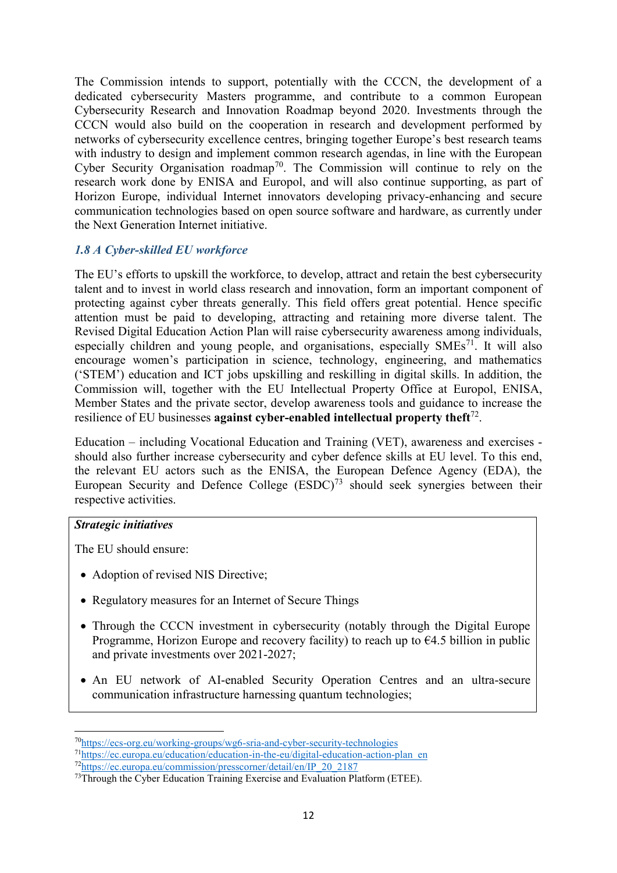The Commission intends to support, potentially with the CCCN, the development of a dedicated cybersecurity Masters programme, and contribute to a common European Cybersecurity Research and Innovation Roadmap beyond 2020. Investments through the CCCN would also build on the cooperation in research and development performed by networks of cybersecurity excellence centres, bringing together Europe's best research teams with industry to design and implement common research agendas, in line with the European Cyber Security Organisation roadmap<sup>70</sup>. The Commission will continue to rely on the research work done by ENISA and Europol, and will also continue supporting, as part of Horizon Europe, individual Internet innovators developing privacy-enhancing and secure communication technologies based on open source software and hardware, as currently under the Next Generation Internet initiative.

### *1.8 A Cyber-skilled EU workforce*

The EU's efforts to upskill the workforce, to develop, attract and retain the best cybersecurity talent and to invest in world class research and innovation, form an important component of protecting against cyber threats generally. This field offers great potential. Hence specific attention must be paid to developing, attracting and retaining more diverse talent. The Revised Digital Education Action Plan will raise cybersecurity awareness among individuals, especially children and young people, and organisations, especially  $SMEs^{71}$ . It will also encourage women's participation in science, technology, engineering, and mathematics ('STEM') education and ICT jobs upskilling and reskilling in digital skills. In addition, the Commission will, together with the EU Intellectual Property Office at Europol, ENISA, Member States and the private sector, develop awareness tools and guidance to increase the resilience of EU businesses **against cyber-enabled intellectual property theft**<sup>72</sup> .

Education – including Vocational Education and Training (VET), awareness and exercises should also further increase cybersecurity and cyber defence skills at EU level. To this end, the relevant EU actors such as the ENISA, the European Defence Agency (EDA), the European Security and Defence College  $(ESDC)^{73}$  should seek synergies between their respective activities.

### *Strategic initiatives*

1

The EU should ensure:

- Adoption of revised NIS Directive;
- Regulatory measures for an Internet of Secure Things
- Through the CCCN investment in cybersecurity (notably through the Digital Europe Programme, Horizon Europe and recovery facility) to reach up to  $\epsilon$ 4.5 billion in public and private investments over 2021-2027;
- An EU network of AI-enabled Security Operation Centres and an ultra-secure communication infrastructure harnessing quantum technologies;

<sup>&</sup>lt;sup>70</sup><https://ecs-org.eu/working-groups/wg6-sria-and-cyber-security-technologies>

<sup>71</sup>[https://ec.europa.eu/education/education-in-the-eu/digital-education-action-plan\\_en](https://ec.europa.eu/education/education-in-the-eu/digital-education-action-plan_en)

<sup>72</sup>[https://ec.europa.eu/commission/presscorner/detail/en/IP\\_20\\_2187](https://ec.europa.eu/commission/presscorner/detail/en/IP_20_2187)

<sup>&</sup>lt;sup>73</sup>Through the Cyber Education Training Exercise and Evaluation Platform (ETEE).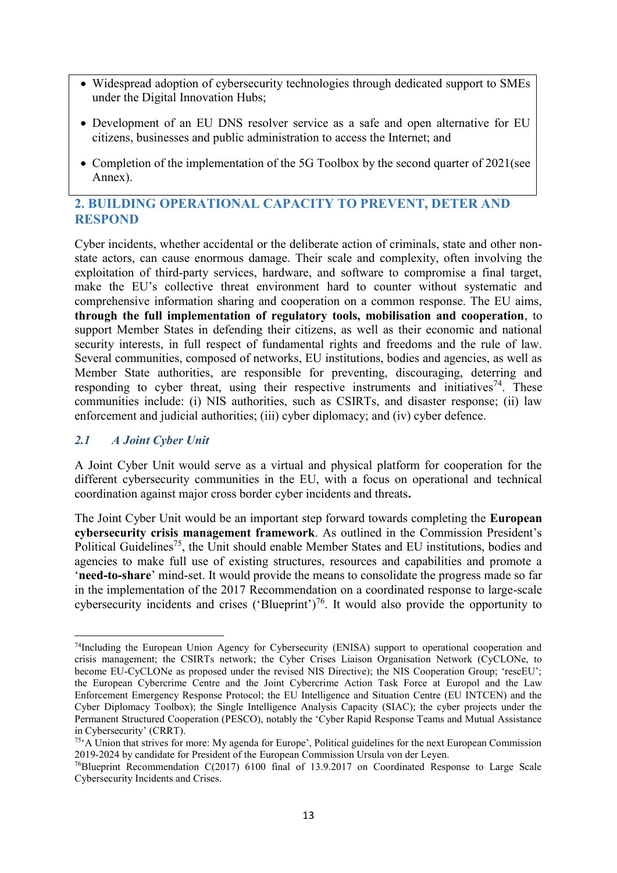- Widespread adoption of cybersecurity technologies through dedicated support to SMEs under the Digital Innovation Hubs;
- Development of an EU DNS resolver service as a safe and open alternative for EU citizens, businesses and public administration to access the Internet; and
- Completion of the implementation of the 5G Toolbox by the second quarter of 2021(see Annex).

# **2. BUILDING OPERATIONAL CAPACITY TO PREVENT, DETER AND RESPOND**

Cyber incidents, whether accidental or the deliberate action of criminals, state and other nonstate actors, can cause enormous damage. Their scale and complexity, often involving the exploitation of third-party services, hardware, and software to compromise a final target, make the EU's collective threat environment hard to counter without systematic and comprehensive information sharing and cooperation on a common response. The EU aims, **through the full implementation of regulatory tools, mobilisation and cooperation**, to support Member States in defending their citizens, as well as their economic and national security interests, in full respect of fundamental rights and freedoms and the rule of law. Several communities, composed of networks, EU institutions, bodies and agencies, as well as Member State authorities, are responsible for preventing, discouraging, deterring and responding to cyber threat, using their respective instruments and initiatives<sup>74</sup>. These communities include: (i) NIS authorities, such as CSIRTs, and disaster response; (ii) law enforcement and judicial authorities; (iii) cyber diplomacy; and (iv) cyber defence.

### *2.1 A Joint Cyber Unit*

A Joint Cyber Unit would serve as a virtual and physical platform for cooperation for the different cybersecurity communities in the EU, with a focus on operational and technical coordination against major cross border cyber incidents and threats**.**

The Joint Cyber Unit would be an important step forward towards completing the **European cybersecurity crisis management framework**. As outlined in the Commission President's Political Guidelines<sup>75</sup>, the Unit should enable Member States and EU institutions, bodies and agencies to make full use of existing structures, resources and capabilities and promote a '**need-to-share**' mind-set. It would provide the means to consolidate the progress made so far in the implementation of the 2017 Recommendation on a coordinated response to large-scale cybersecurity incidents and crises ('Blueprint')<sup>76</sup>. It would also provide the opportunity to

**<sup>.</sup>** <sup>74</sup>Including the European Union Agency for Cybersecurity (ENISA) support to operational cooperation and crisis management; the CSIRTs network; the Cyber Crises Liaison Organisation Network (CyCLONe, to become EU-CyCLONe as proposed under the revised NIS Directive); the NIS Cooperation Group; 'rescEU'; the European Cybercrime Centre and the Joint Cybercrime Action Task Force at Europol and the Law Enforcement Emergency Response Protocol; the EU Intelligence and Situation Centre (EU INTCEN) and the Cyber Diplomacy Toolbox); the Single Intelligence Analysis Capacity (SIAC); the cyber projects under the Permanent Structured Cooperation (PESCO), notably the 'Cyber Rapid Response Teams and Mutual Assistance in Cybersecurity' (CRRT).

 $75^\circ$ A Union that strives for more: My agenda for Europe', Political guidelines for the next European Commission 2019-2024 by candidate for President of the European Commission Ursula von der Leyen.

<sup>76</sup>Blueprint Recommendation C(2017) 6100 final of 13.9.2017 on Coordinated Response to Large Scale Cybersecurity Incidents and Crises.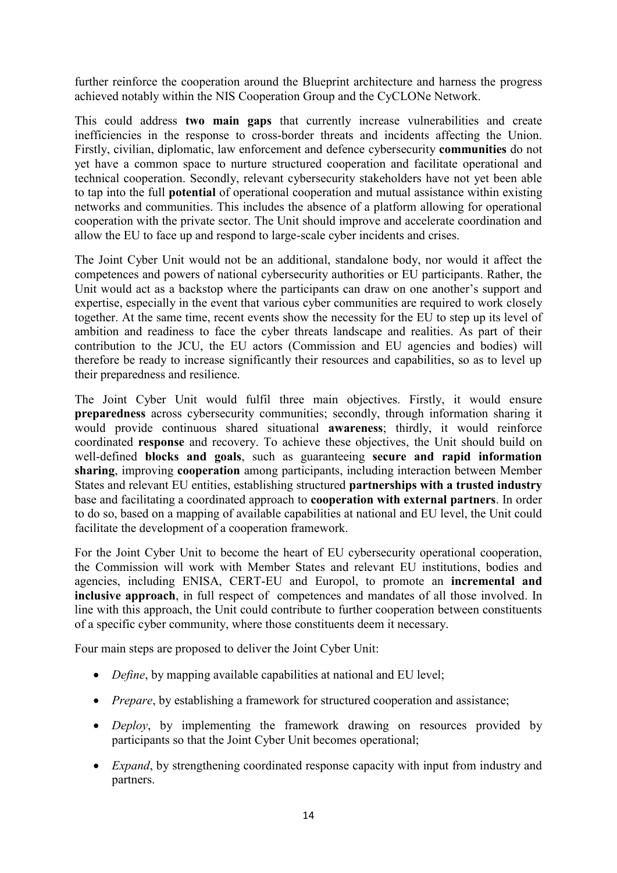further reinforce the cooperation around the Blueprint architecture and harness the progress achieved notably within the NIS Cooperation Group and the CyCLONe Network.

This could address **two main gaps** that currently increase vulnerabilities and create inefficiencies in the response to cross-border threats and incidents affecting the Union. Firstly, civilian, diplomatic, law enforcement and defence cybersecurity **communities** do not yet have a common space to nurture structured cooperation and facilitate operational and technical cooperation. Secondly, relevant cybersecurity stakeholders have not yet been able to tap into the full **potential** of operational cooperation and mutual assistance within existing networks and communities. This includes the absence of a platform allowing for operational cooperation with the private sector. The Unit should improve and accelerate coordination and allow the EU to face up and respond to large-scale cyber incidents and crises.

The Joint Cyber Unit would not be an additional, standalone body, nor would it affect the competences and powers of national cybersecurity authorities or EU participants. Rather, the Unit would act as a backstop where the participants can draw on one another's support and expertise, especially in the event that various cyber communities are required to work closely together. At the same time, recent events show the necessity for the EU to step up its level of ambition and readiness to face the cyber threats landscape and realities. As part of their contribution to the JCU, the EU actors (Commission and EU agencies and bodies) will therefore be ready to increase significantly their resources and capabilities, so as to level up their preparedness and resilience.

The Joint Cyber Unit would fulfil three main objectives. Firstly, it would ensure **preparedness** across cybersecurity communities; secondly, through information sharing it would provide continuous shared situational **awareness**; thirdly, it would reinforce coordinated **response** and recovery. To achieve these objectives, the Unit should build on well-defined **blocks and goals**, such as guaranteeing **secure and rapid information sharing**, improving **cooperation** among participants, including interaction between Member States and relevant EU entities, establishing structured **partnerships with a trusted industry** base and facilitating a coordinated approach to **cooperation with external partners**. In order to do so, based on a mapping of available capabilities at national and EU level, the Unit could facilitate the development of a cooperation framework.

For the Joint Cyber Unit to become the heart of EU cybersecurity operational cooperation, the Commission will work with Member States and relevant EU institutions, bodies and agencies, including ENISA, CERT-EU and Europol, to promote an **incremental and inclusive approach**, in full respect of competences and mandates of all those involved. In line with this approach, the Unit could contribute to further cooperation between constituents of a specific cyber community, where those constituents deem it necessary.

Four main steps are proposed to deliver the Joint Cyber Unit:

- *Define*, by mapping available capabilities at national and EU level;
- *Prepare*, by establishing a framework for structured cooperation and assistance;
- *Deploy*, by implementing the framework drawing on resources provided by participants so that the Joint Cyber Unit becomes operational;
- *Expand*, by strengthening coordinated response capacity with input from industry and partners.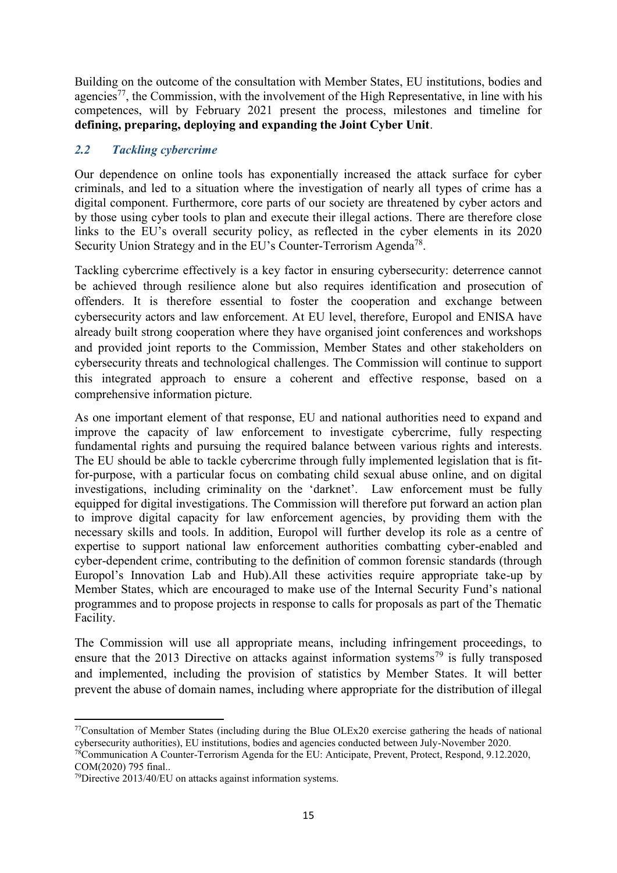Building on the outcome of the consultation with Member States, EU institutions, bodies and agencies<sup>77</sup>, the Commission, with the involvement of the High Representative, in line with his competences, will by February 2021 present the process, milestones and timeline for **defining, preparing, deploying and expanding the Joint Cyber Unit**.

### *2.2 Tackling cybercrime*

Our dependence on online tools has exponentially increased the attack surface for cyber criminals, and led to a situation where the investigation of nearly all types of crime has a digital component. Furthermore, core parts of our society are threatened by cyber actors and by those using cyber tools to plan and execute their illegal actions. There are therefore close links to the EU's overall security policy, as reflected in the cyber elements in its 2020 Security Union Strategy and in the EU's Counter-Terrorism Agenda<sup>78</sup>.

Tackling cybercrime effectively is a key factor in ensuring cybersecurity: deterrence cannot be achieved through resilience alone but also requires identification and prosecution of offenders. It is therefore essential to foster the cooperation and exchange between cybersecurity actors and law enforcement. At EU level, therefore, Europol and ENISA have already built strong cooperation where they have organised joint conferences and workshops and provided joint reports to the Commission, Member States and other stakeholders on cybersecurity threats and technological challenges. The Commission will continue to support this integrated approach to ensure a coherent and effective response, based on a comprehensive information picture.

As one important element of that response, EU and national authorities need to expand and improve the capacity of law enforcement to investigate cybercrime, fully respecting fundamental rights and pursuing the required balance between various rights and interests. The EU should be able to tackle cybercrime through fully implemented legislation that is fitfor-purpose, with a particular focus on combating child sexual abuse online, and on digital investigations, including criminality on the 'darknet'. Law enforcement must be fully equipped for digital investigations. The Commission will therefore put forward an action plan to improve digital capacity for law enforcement agencies, by providing them with the necessary skills and tools. In addition, Europol will further develop its role as a centre of expertise to support national law enforcement authorities combatting cyber-enabled and cyber-dependent crime, contributing to the definition of common forensic standards (through Europol's Innovation Lab and Hub).All these activities require appropriate take-up by Member States, which are encouraged to make use of the Internal Security Fund's national programmes and to propose projects in response to calls for proposals as part of the Thematic Facility.

The Commission will use all appropriate means, including infringement proceedings, to ensure that the 2013 Directive on attacks against information systems<sup>79</sup> is fully transposed and implemented, including the provision of statistics by Member States. It will better prevent the abuse of domain names, including where appropriate for the distribution of illegal

 $\overline{a}$ <sup>77</sup>Consultation of Member States (including during the Blue OLEx20 exercise gathering the heads of national cybersecurity authorities), EU institutions, bodies and agencies conducted between July-November 2020.

<sup>78</sup>Communication A Counter-Terrorism Agenda for the EU: Anticipate, Prevent, Protect, Respond, 9.12.2020, COM(2020) 795 final..

 $^{79}$ Directive 2013/40/EU on attacks against information systems.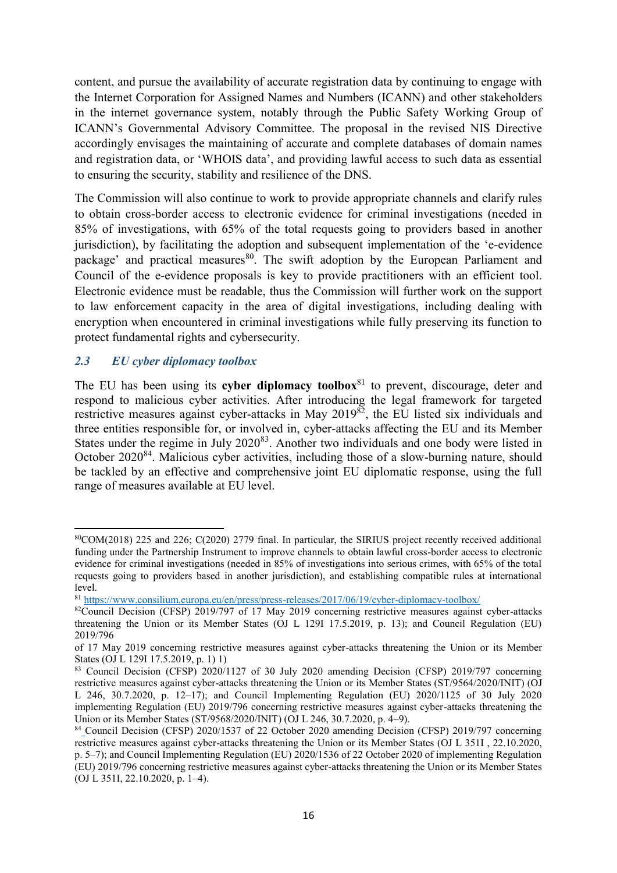content, and pursue the availability of accurate registration data by continuing to engage with the Internet Corporation for Assigned Names and Numbers (ICANN) and other stakeholders in the internet governance system, notably through the Public Safety Working Group of ICANN's Governmental Advisory Committee. The proposal in the revised NIS Directive accordingly envisages the maintaining of accurate and complete databases of domain names and registration data, or 'WHOIS data', and providing lawful access to such data as essential to ensuring the security, stability and resilience of the DNS.

The Commission will also continue to work to provide appropriate channels and clarify rules to obtain cross-border access to electronic evidence for criminal investigations (needed in 85% of investigations, with 65% of the total requests going to providers based in another jurisdiction), by facilitating the adoption and subsequent implementation of the 'e-evidence package' and practical measures<sup>80</sup>. The swift adoption by the European Parliament and Council of the e-evidence proposals is key to provide practitioners with an efficient tool. Electronic evidence must be readable, thus the Commission will further work on the support to law enforcement capacity in the area of digital investigations, including dealing with encryption when encountered in criminal investigations while fully preserving its function to protect fundamental rights and cybersecurity.

### *2.3 EU cyber diplomacy toolbox*

**.** 

The EU has been using its **cyber diplomacy toolbox**<sup>81</sup> to prevent, discourage, deter and respond to malicious cyber activities. After introducing the legal framework for targeted restrictive measures against cyber-attacks in May 2019<sup>82</sup>, the EU listed six individuals and three entities responsible for, or involved in, cyber-attacks affecting the EU and its Member States under the regime in July 2020<sup>83</sup>. Another two individuals and one body were listed in October 2020<sup>84</sup>. Malicious cyber activities, including those of a slow-burning nature, should be tackled by an effective and comprehensive joint EU diplomatic response, using the full range of measures available at EU level.

<sup>80</sup>COM(2018) 225 and 226; C(2020) 2779 final. In particular, the SIRIUS project recently received additional funding under the Partnership Instrument to improve channels to obtain lawful cross-border access to electronic evidence for criminal investigations (needed in 85% of investigations into serious crimes, with 65% of the total requests going to providers based in another jurisdiction), and establishing compatible rules at international level.

<sup>81</sup> <https://www.consilium.europa.eu/en/press/press-releases/2017/06/19/cyber-diplomacy-toolbox/>

<sup>82</sup>Council Decision (CFSP) 2019/797 of 17 May 2019 concerning restrictive measures against cyber-attacks threatening the Union or its Member States (OJ L 129I 17.5.2019, p. 13); and Council Regulation (EU) 2019/796

of 17 May 2019 concerning restrictive measures against cyber-attacks threatening the Union or its Member States (OJ L 129I 17.5.2019, p. 1) 1)

<sup>&</sup>lt;sup>83</sup> Council Decision (CFSP) 2020/1127 of 30 July 2020 amending Decision (CFSP) 2019/797 concerning restrictive measures against cyber-attacks threatening the Union or its Member States (ST/9564/2020/INIT) (OJ L 246, 30.7.2020, p. 12–17); and Council Implementing Regulation (EU) 2020/1125 of 30 July 2020 implementing Regulation (EU) 2019/796 concerning restrictive measures against cyber-attacks threatening the Union or its Member States (ST/9568/2020/INIT) (OJ L 246, 30.7.2020, p. 4–9).

<sup>84</sup> Council Decision (CFSP) 2020/1537 of 22 October 2020 amending Decision (CFSP) 2019/797 concerning restrictive measures against cyber-attacks threatening the Union or its Member States (OJ L 351I , 22.10.2020, p. 5–7); and Council Implementing Regulation (EU) 2020/1536 of 22 October 2020 of implementing Regulation (EU) 2019/796 concerning restrictive measures against cyber-attacks threatening the Union or its Member States (OJ L 351I, 22.10.2020, p. 1–4[\).](https://www.consilium.europa.eu/en/press/press-releases/2020/07/30/eu-imposes-the-first-ever-sanctions-against-cyber-attacks/)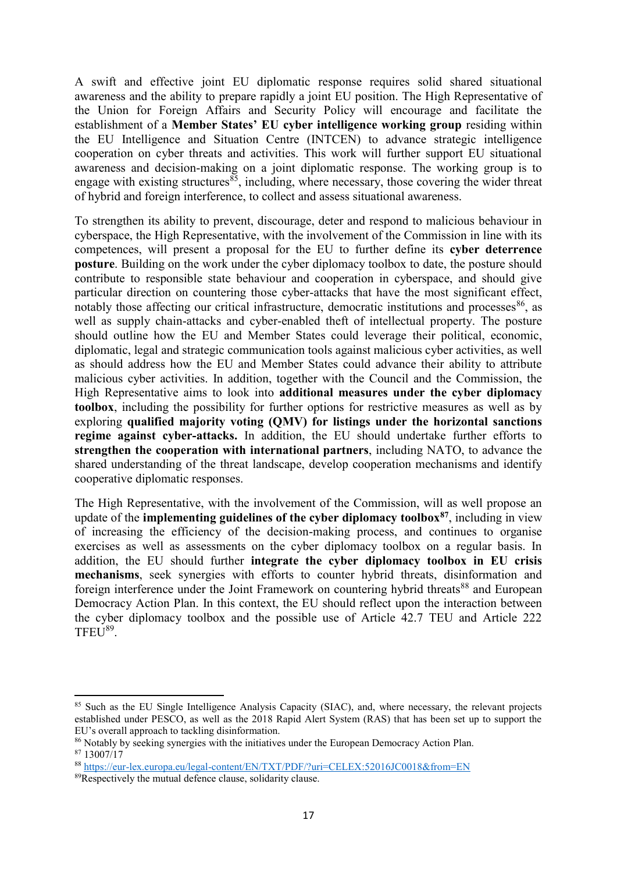A swift and effective joint EU diplomatic response requires solid shared situational awareness and the ability to prepare rapidly a joint EU position. The High Representative of the Union for Foreign Affairs and Security Policy will encourage and facilitate the establishment of a **Member States' EU cyber intelligence working group** residing within the EU Intelligence and Situation Centre (INTCEN) to advance strategic intelligence cooperation on cyber threats and activities. This work will further support EU situational awareness and decision-making on a joint diplomatic response. The working group is to engage with existing structures  $\frac{85}{3}$ , including, where necessary, those covering the wider threat of hybrid and foreign interference, to collect and assess situational awareness.

To strengthen its ability to prevent, discourage, deter and respond to malicious behaviour in cyberspace, the High Representative, with the involvement of the Commission in line with its competences, will present a proposal for the EU to further define its **cyber deterrence posture**. Building on the work under the cyber diplomacy toolbox to date, the posture should contribute to responsible state behaviour and cooperation in cyberspace, and should give particular direction on countering those cyber-attacks that have the most significant effect, notably those affecting our critical infrastructure, democratic institutions and processes  $86$ , as well as supply chain-attacks and cyber-enabled theft of intellectual property. The posture should outline how the EU and Member States could leverage their political, economic, diplomatic, legal and strategic communication tools against malicious cyber activities, as well as should address how the EU and Member States could advance their ability to attribute malicious cyber activities. In addition, together with the Council and the Commission, the High Representative aims to look into **additional measures under the cyber diplomacy toolbox**, including the possibility for further options for restrictive measures as well as by exploring **qualified majority voting (QMV) for listings under the horizontal sanctions regime against cyber-attacks.** In addition, the EU should undertake further efforts to **strengthen the cooperation with international partners**, including NATO, to advance the shared understanding of the threat landscape, develop cooperation mechanisms and identify cooperative diplomatic responses.

The High Representative, with the involvement of the Commission, will as well propose an update of the **implementing guidelines of the cyber diplomacy toolbox<sup>87</sup>** , including in view of increasing the efficiency of the decision-making process, and continues to organise exercises as well as assessments on the cyber diplomacy toolbox on a regular basis. In addition, the EU should further **integrate the cyber diplomacy toolbox in EU crisis mechanisms**, seek synergies with efforts to counter hybrid threats, disinformation and foreign interference under the Joint Framework on countering hybrid threats<sup>88</sup> and European Democracy Action Plan. In this context, the EU should reflect upon the interaction between the cyber diplomacy toolbox and the possible use of Article 42.7 TEU and Article 222 TFEU<sup>89</sup>.

<sup>&</sup>lt;sup>85</sup> Such as the EU Single Intelligence Analysis Capacity (SIAC), and, where necessary, the relevant projects established under PESCO, as well as the 2018 Rapid Alert System (RAS) that has been set up to support the EU's overall approach to tackling disinformation.

<sup>&</sup>lt;sup>86</sup> Notably by seeking synergies with the initiatives under the European Democracy Action Plan.

<sup>87</sup> 13007/17

<sup>88</sup> <https://eur-lex.europa.eu/legal-content/EN/TXT/PDF/?uri=CELEX:52016JC0018&from=EN>

<sup>&</sup>lt;sup>89</sup>Respectively the mutual defence clause, solidarity clause.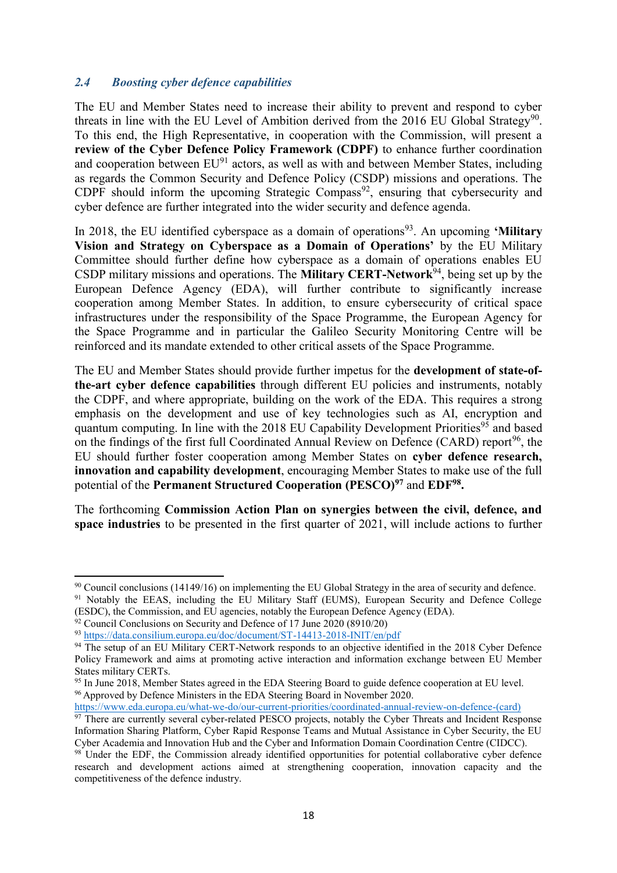### *2.4 Boosting cyber defence capabilities*

The EU and Member States need to increase their ability to prevent and respond to cyber threats in line with the EU Level of Ambition derived from the 2016 EU Global Strategy<sup>90</sup>. To this end, the High Representative, in cooperation with the Commission, will present a **review of the Cyber Defence Policy Framework (CDPF)** to enhance further coordination and cooperation between  $EU<sup>91</sup>$  actors, as well as with and between Member States, including as regards the Common Security and Defence Policy (CSDP) missions and operations. The  $CDPF$  should inform the upcoming Strategic Compass<sup>92</sup>, ensuring that cybersecurity and cyber defence are further integrated into the wider security and defence agenda.

In 2018, the EU identified cyberspace as a domain of operations<sup>93</sup>. An upcoming **'Military Vision and Strategy on Cyberspace as a Domain of Operations'** by the EU Military Committee should further define how cyberspace as a domain of operations enables EU CSDP military missions and operations. The **Military CERT-Network**<sup>94</sup>, being set up by the European Defence Agency (EDA), will further contribute to significantly increase cooperation among Member States. In addition, to ensure cybersecurity of critical space infrastructures under the responsibility of the Space Programme, the European Agency for the Space Programme and in particular the Galileo Security Monitoring Centre will be reinforced and its mandate extended to other critical assets of the Space Programme.

The EU and Member States should provide further impetus for the **development of state-ofthe-art cyber defence capabilities** through different EU policies and instruments, notably the CDPF, and where appropriate, building on the work of the EDA. This requires a strong emphasis on the development and use of key technologies such as AI, encryption and quantum computing. In line with the 2018 EU Capability Development Priorities<sup>95</sup> and based on the findings of the first full Coordinated Annual Review on Defence (CARD) report<sup>96</sup>, the EU should further foster cooperation among Member States on **cyber defence research, innovation and capability development**, encouraging Member States to make use of the full potential of the **Permanent Structured Cooperation (PESCO)<sup>97</sup>** and **EDF<sup>98</sup> .**

The forthcoming **Commission Action Plan on synergies between the civil, defence, and space industries** to be presented in the first quarter of 2021, will include actions to further

(ESDC), the Commission, and EU agencies, notably the European Defence Agency (EDA).

1

[https://www.eda.europa.eu/what-we-do/our-current-priorities/coordinated-annual-review-on-defence-\(card\)](https://www.eda.europa.eu/what-we-do/our-current-priorities/coordinated-annual-review-on-defence-(card))

<sup>&</sup>lt;sup>90</sup> Council conclusions (14149/16) on implementing the EU Global Strategy in the area of security and defence. <sup>91</sup> Notably the EEAS, including the EU Military Staff (EUMS), European Security and Defence College

 $92$  Council Conclusions on Security and Defence of 17 June 2020 (8910/20)

<sup>93</sup> <https://data.consilium.europa.eu/doc/document/ST-14413-2018-INIT/en/pdf>

<sup>&</sup>lt;sup>94</sup> The setup of an EU Military CERT-Network responds to an objective identified in the 2018 Cyber Defence Policy Framework and aims at promoting active interaction and information exchange between EU Member States military CERTs.

<sup>&</sup>lt;sup>95</sup> In June 2018, Member States agreed in the EDA Steering Board to guide defence cooperation at EU level. <sup>96</sup> Approved by Defence Ministers in the EDA Steering Board in November 2020.

<sup>&</sup>lt;sup>97</sup> There are currently several cyber-related PESCO projects, notably the Cyber Threats and Incident Response Information Sharing Platform, Cyber Rapid Response Teams and Mutual Assistance in Cyber Security, the EU Cyber Academia and Innovation Hub and the Cyber and Information Domain Coordination Centre (CIDCC).

<sup>98</sup> Under the EDF, the Commission already identified opportunities for potential collaborative cyber defence research and development actions aimed at strengthening cooperation, innovation capacity and the competitiveness of the defence industry.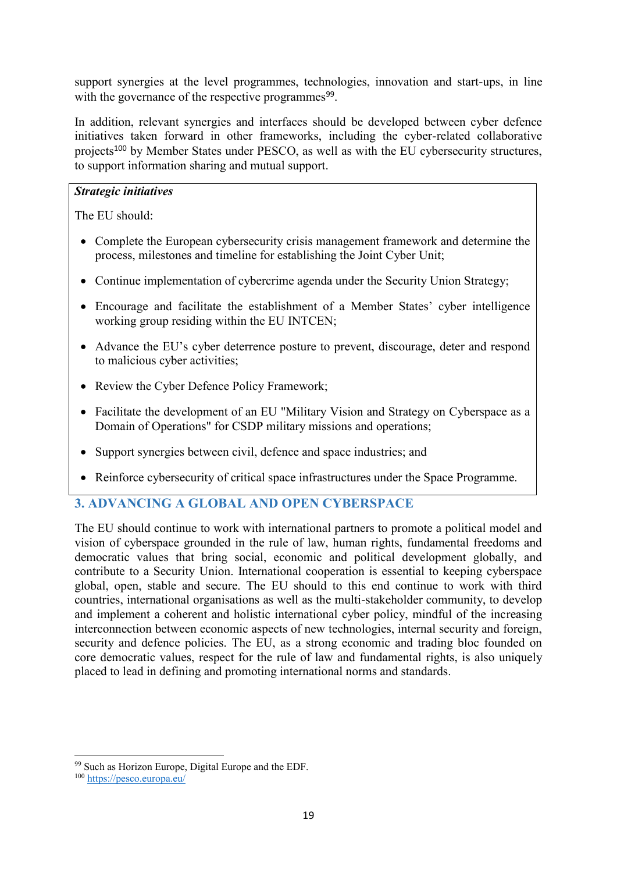support synergies at the level programmes, technologies, innovation and start-ups, in line with the governance of the respective programmes<sup>99</sup>.

In addition, relevant synergies and interfaces should be developed between cyber defence initiatives taken forward in other frameworks, including the cyber-related collaborative projects<sup>100</sup> by Member States under PESCO, as well as with the EU cybersecurity structures, to support information sharing and mutual support.

### *Strategic initiatives*

The EU should:

- Complete the European cybersecurity crisis management framework and determine the process, milestones and timeline for establishing the Joint Cyber Unit;
- Continue implementation of cybercrime agenda under the Security Union Strategy;
- Encourage and facilitate the establishment of a Member States' cyber intelligence working group residing within the EU INTCEN;
- Advance the EU's cyber deterrence posture to prevent, discourage, deter and respond to malicious cyber activities;
- Review the Cyber Defence Policy Framework;
- Facilitate the development of an EU "Military Vision and Strategy on Cyberspace as a Domain of Operations" for CSDP military missions and operations;
- Support synergies between civil, defence and space industries; and
- Reinforce cybersecurity of critical space infrastructures under the Space Programme.

# **3. ADVANCING A GLOBAL AND OPEN CYBERSPACE**

The EU should continue to work with international partners to promote a political model and vision of cyberspace grounded in the rule of law, human rights, fundamental freedoms and democratic values that bring social, economic and political development globally, and contribute to a Security Union. International cooperation is essential to keeping cyberspace global, open, stable and secure. The EU should to this end continue to work with third countries, international organisations as well as the multi-stakeholder community, to develop and implement a coherent and holistic international cyber policy, mindful of the increasing interconnection between economic aspects of new technologies, internal security and foreign, security and defence policies. The EU, as a strong economic and trading bloc founded on core democratic values, respect for the rule of law and fundamental rights, is also uniquely placed to lead in defining and promoting international norms and standards.

1

<sup>99</sup> Such as Horizon Europe, Digital Europe and the EDF.

<sup>100</sup> <https://pesco.europa.eu/>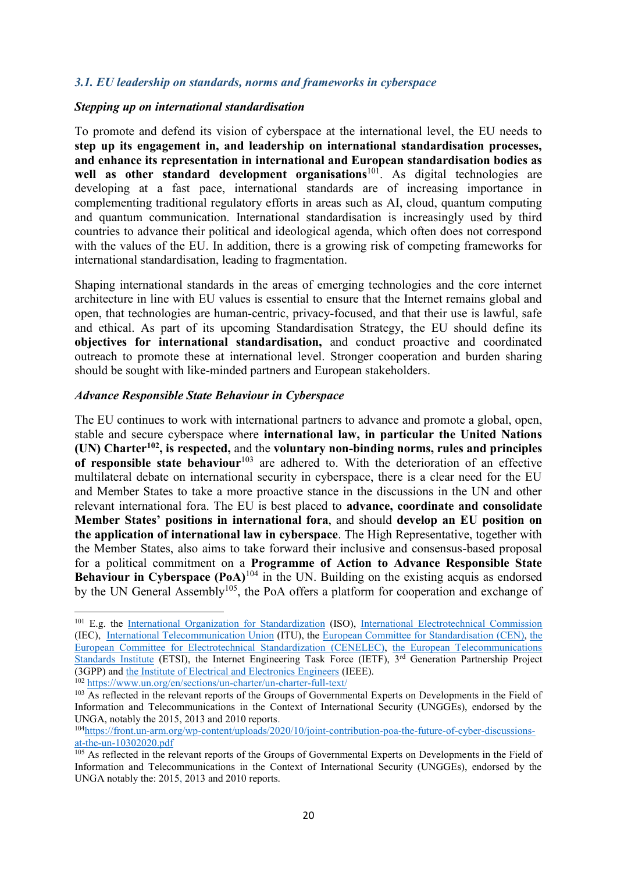### *3.1. EU leadership on standards, norms and frameworks in cyberspace*

### *Stepping up on international standardisation*

To promote and defend its vision of cyberspace at the international level, the EU needs to **step up its engagement in, and leadership on international standardisation processes, and enhance its representation in international and European standardisation bodies as**  well as other standard development organisations<sup>101</sup>. As digital technologies are developing at a fast pace, international standards are of increasing importance in complementing traditional regulatory efforts in areas such as AI, cloud, quantum computing and quantum communication. International standardisation is increasingly used by third countries to advance their political and ideological agenda, which often does not correspond with the values of the EU. In addition, there is a growing risk of competing frameworks for international standardisation, leading to fragmentation.

Shaping international standards in the areas of emerging technologies and the core internet architecture in line with EU values is essential to ensure that the Internet remains global and open, that technologies are human-centric, privacy-focused, and that their use is lawful, safe and ethical. As part of its upcoming Standardisation Strategy, the EU should define its **objectives for international standardisation,** and conduct proactive and coordinated outreach to promote these at international level. Stronger cooperation and burden sharing should be sought with like-minded partners and European stakeholders.

### *Advance Responsible State Behaviour in Cyberspace*

1

The EU continues to work with international partners to advance and promote a global, open, stable and secure cyberspace where **international law, in particular the United Nations (UN) Charter<sup>102</sup>, is respected,** and the **voluntary non-binding norms, rules and principles**  of responsible state behaviour<sup>103</sup> are adhered to. With the deterioration of an effective multilateral debate on international security in cyberspace, there is a clear need for the EU and Member States to take a more proactive stance in the discussions in the UN and other relevant international fora. The EU is best placed to **advance, coordinate and consolidate Member States' positions in international fora**, and should **develop an EU position on the application of international law in cyberspace**. The High Representative, together with the Member States, also aims to take forward their inclusive and consensus-based proposal for a political commitment on a **Programme of Action to Advance Responsible State Behaviour in Cyberspace (PoA)<sup>104</sup>** in the UN. Building on the existing acquis as endorsed by the UN General Assembly<sup>105</sup>, the PoA offers a platform for cooperation and exchange of

<sup>&</sup>lt;sup>101</sup> E.g. the [International Organization for Standardization](https://www.iso.org/home.html) (ISO), [International Electrotechnical Commission](https://www.iec.ch/homepage) (IEC), [International Telecommunication Union](https://www.itu.int/en/Pages/default.aspx) (ITU), the [European Committee for Standardisation \(](https://www.cen.eu/Pages/default.aspx)CEN), [the](https://www.cenelec.eu/)  [European Committee for Electrotechnical Standardization \(](https://www.cenelec.eu/)CENELEC), [the European Telecommunications](https://www.etsi.org/)  [Standards Institute](https://www.etsi.org/) (ETSI), the Internet Engineering Task Force (IETF), 3<sup>rd</sup> Generation Partnership Project (3GPP) and [the Institute of Electrical and Electronics Engineers](https://www.ieee.org/) (IEEE). <sup>102</sup> <https://www.un.org/en/sections/un-charter/un-charter-full-text/>

<sup>&</sup>lt;sup>103</sup> As reflected in the relevant reports of the Groups of Governmental Experts on Developments in the Field of Information and Telecommunications in the Context of International Security (UNGGEs), endorsed by the UNGA, notably the 2015, 2013 and 2010 reports.

<sup>104</sup>[https://front.un-arm.org/wp-content/uploads/2020/10/joint-contribution-poa-the-future-of-cyber-discussions](https://front.un-arm.org/wp-content/uploads/2020/10/joint-contribution-poa-the-future-of-cyber-discussions-at-the-un-10302020.pdf)[at-the-un-10302020.pdf](https://front.un-arm.org/wp-content/uploads/2020/10/joint-contribution-poa-the-future-of-cyber-discussions-at-the-un-10302020.pdf)

<sup>&</sup>lt;sup>105</sup> As reflected in the relevant reports of the Groups of Governmental Experts on Developments in the Field of Information and Telecommunications in the Context of International Security (UNGGEs), endorsed by the UNGA notably the: 2015, 2013 and 2010 reports.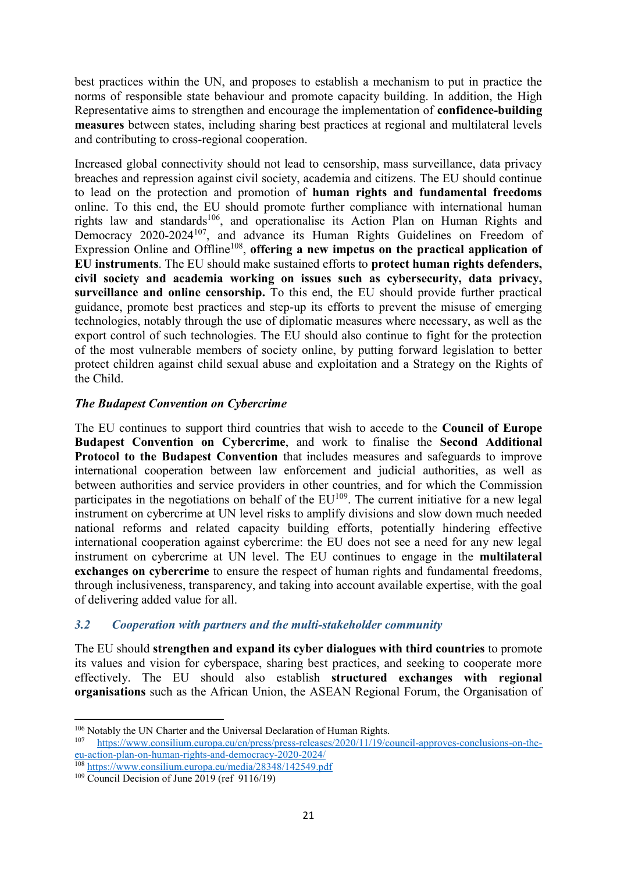best practices within the UN, and proposes to establish a mechanism to put in practice the norms of responsible state behaviour and promote capacity building. In addition, the High Representative aims to strengthen and encourage the implementation of **confidence-building measures** between states, including sharing best practices at regional and multilateral levels and contributing to cross-regional cooperation.

Increased global connectivity should not lead to censorship, mass surveillance, data privacy breaches and repression against civil society, academia and citizens. The EU should continue to lead on the protection and promotion of **human rights and fundamental freedoms**  online. To this end, the EU should promote further compliance with international human rights law and standards<sup>106</sup>, and operationalise its Action Plan on Human Rights and Democracy 2020-2024<sup>107</sup>, and advance its Human Rights Guidelines on Freedom of Expression Online and Offline<sup>108</sup>, offering a new impetus on the practical application of **EU instruments**. The EU should make sustained efforts to **protect human rights defenders, civil society and academia working on issues such as cybersecurity, data privacy, surveillance and online censorship.** To this end, the EU should provide further practical guidance, promote best practices and step-up its efforts to prevent the misuse of emerging technologies, notably through the use of diplomatic measures where necessary, as well as the export control of such technologies. The EU should also continue to fight for the protection of the most vulnerable members of society online, by putting forward legislation to better protect children against child sexual abuse and exploitation and a Strategy on the Rights of the Child.

### *The Budapest Convention on Cybercrime*

The EU continues to support third countries that wish to accede to the **Council of Europe Budapest Convention on Cybercrime**, and work to finalise the **Second Additional Protocol to the Budapest Convention** that includes measures and safeguards to improve international cooperation between law enforcement and judicial authorities, as well as between authorities and service providers in other countries, and for which the Commission participates in the negotiations on behalf of the  $EU^{109}$ . The current initiative for a new legal instrument on cybercrime at UN level risks to amplify divisions and slow down much needed national reforms and related capacity building efforts, potentially hindering effective international cooperation against cybercrime: the EU does not see a need for any new legal instrument on cybercrime at UN level. The EU continues to engage in the **multilateral exchanges on cybercrime** to ensure the respect of human rights and fundamental freedoms, through inclusiveness, transparency, and taking into account available expertise, with the goal of delivering added value for all.

### *3.2 Cooperation with partners and the multi-stakeholder community*

The EU should **strengthen and expand its cyber dialogues with third countries** to promote its values and vision for cyberspace, sharing best practices, and seeking to cooperate more effectively. The EU should also establish **structured exchanges with regional organisations** such as the African Union, the ASEAN Regional Forum, the Organisation of

 $\overline{a}$ <sup>106</sup> Notably the UN Charter and the Universal Declaration of Human Rights.<br><sup>107</sup> https://www.consilium.europa.eu/en/press/press-releases/2020/11/19/co

<sup>107</sup> [https://www.consilium.europa.eu/en/press/press-releases/2020/11/19/council-approves-conclusions-on-the](https://www.consilium.europa.eu/en/press/press-releases/2020/11/19/council-approves-conclusions-on-the-eu-action-plan-on-human-rights-and-democracy-2020-2024/)[eu-action-plan-on-human-rights-and-democracy-2020-2024/](https://www.consilium.europa.eu/en/press/press-releases/2020/11/19/council-approves-conclusions-on-the-eu-action-plan-on-human-rights-and-democracy-2020-2024/)

<sup>108</sup> <https://www.consilium.europa.eu/media/28348/142549.pdf>

 $109$  Council Decision of June 2019 (ref 9116/19)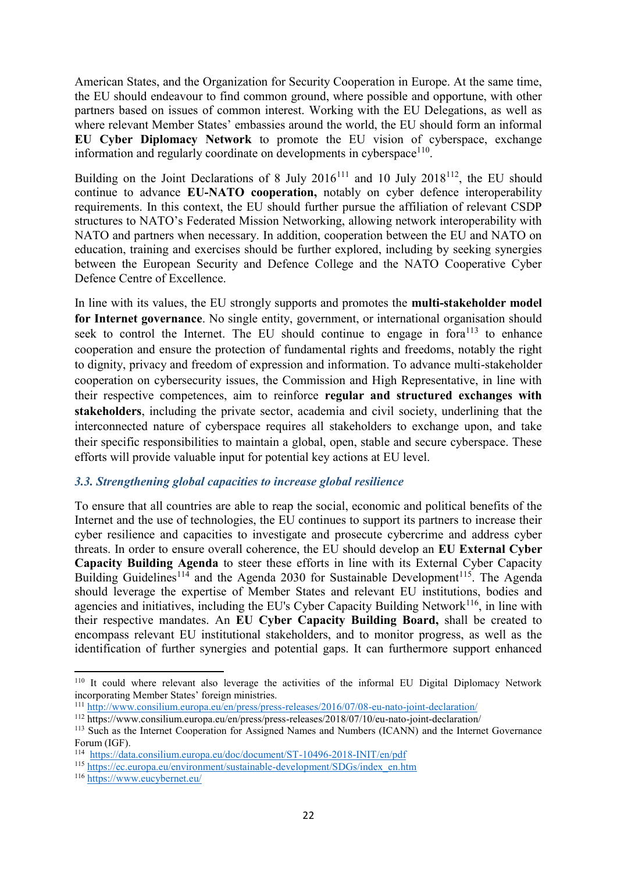American States, and the Organization for Security Cooperation in Europe. At the same time, the EU should endeavour to find common ground, where possible and opportune, with other partners based on issues of common interest. Working with the EU Delegations, as well as where relevant Member States' embassies around the world, the EU should form an informal **EU Cyber Diplomacy Network** to promote the EU vision of cyberspace, exchange information and regularly coordinate on developments in cyberspace $110$ .

Building on the Joint Declarations of 8 July  $2016^{111}$  and 10 July  $2018^{112}$ , the EU should continue to advance **EU-NATO cooperation,** notably on cyber defence interoperability requirements. In this context, the EU should further pursue the affiliation of relevant CSDP structures to NATO's Federated Mission Networking, allowing network interoperability with NATO and partners when necessary. In addition, cooperation between the EU and NATO on education, training and exercises should be further explored, including by seeking synergies between the European Security and Defence College and the NATO Cooperative Cyber Defence Centre of Excellence.

In line with its values, the EU strongly supports and promotes the **multi-stakeholder model**  for Internet governance. No single entity, government, or international organisation should seek to control the Internet. The EU should continue to engage in fora<sup>113</sup> to enhance cooperation and ensure the protection of fundamental rights and freedoms, notably the right to dignity, privacy and freedom of expression and information. To advance multi-stakeholder cooperation on cybersecurity issues, the Commission and High Representative, in line with their respective competences, aim to reinforce **regular and structured exchanges with stakeholders**, including the private sector, academia and civil society, underlining that the interconnected nature of cyberspace requires all stakeholders to exchange upon, and take their specific responsibilities to maintain a global, open, stable and secure cyberspace. These efforts will provide valuable input for potential key actions at EU level.

### *3.3. Strengthening global capacities to increase global resilience*

To ensure that all countries are able to reap the social, economic and political benefits of the Internet and the use of technologies, the EU continues to support its partners to increase their cyber resilience and capacities to investigate and prosecute cybercrime and address cyber threats. In order to ensure overall coherence, the EU should develop an **EU External Cyber Capacity Building Agenda** to steer these efforts in line with its External Cyber Capacity Building Guidelines<sup>114</sup> and the Agenda 2030 for Sustainable Development<sup>115</sup>. The Agenda should leverage the expertise of Member States and relevant EU institutions, bodies and agencies and initiatives, including the EU's Cyber Capacity Building Network<sup>116</sup>, in line with their respective mandates. An **EU Cyber Capacity Building Board,** shall be created to encompass relevant EU institutional stakeholders, and to monitor progress, as well as the identification of further synergies and potential gaps. It can furthermore support enhanced

<sup>110</sup> It could where relevant also leverage the activities of the informal EU Digital Diplomacy Network incorporating Member States' foreign ministries.

<sup>111</sup> <http://www.consilium.europa.eu/en/press/press-releases/2016/07/08-eu-nato-joint-declaration/>

<sup>112</sup> https://www.consilium.europa.eu/en/press/press-releases/2018/07/10/eu-nato-joint-declaration/

<sup>&</sup>lt;sup>113</sup> Such as the Internet Cooperation for Assigned Names and Numbers (ICANN) and the Internet Governance Forum (IGF).

<sup>114</sup> <https://data.consilium.europa.eu/doc/document/ST-10496-2018-INIT/en/pdf>

<sup>115</sup> [https://ec.europa.eu/environment/sustainable-development/SDGs/index\\_en.htm](https://ec.europa.eu/environment/sustainable-development/SDGs/index_en.htm)

<sup>116</sup> <https://www.eucybernet.eu/>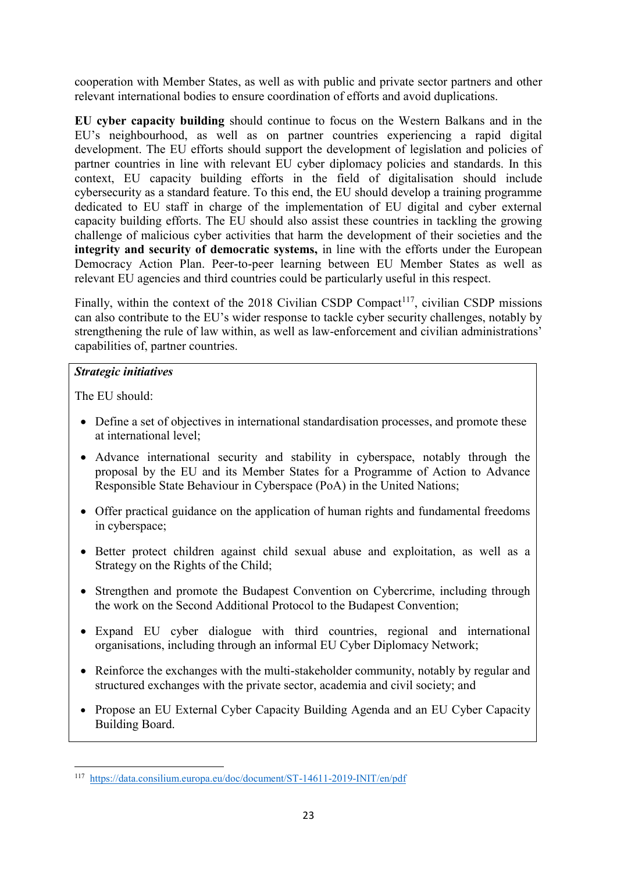cooperation with Member States, as well as with public and private sector partners and other relevant international bodies to ensure coordination of efforts and avoid duplications.

**EU cyber capacity building** should continue to focus on the Western Balkans and in the EU's neighbourhood, as well as on partner countries experiencing a rapid digital development. The EU efforts should support the development of legislation and policies of partner countries in line with relevant EU cyber diplomacy policies and standards. In this context, EU capacity building efforts in the field of digitalisation should include cybersecurity as a standard feature. To this end, the EU should develop a training programme dedicated to EU staff in charge of the implementation of EU digital and cyber external capacity building efforts. The EU should also assist these countries in tackling the growing challenge of malicious cyber activities that harm the development of their societies and the **integrity and security of democratic systems,** in line with the efforts under the European Democracy Action Plan. Peer-to-peer learning between EU Member States as well as relevant EU agencies and third countries could be particularly useful in this respect.

Finally, within the context of the  $2018$  Civilian CSDP Compact<sup>117</sup>, civilian CSDP missions can also contribute to the EU's wider response to tackle cyber security challenges, notably by strengthening the rule of law within, as well as law-enforcement and civilian administrations' capabilities of, partner countries.

### *Strategic initiatives*

The  $EU$  should:

- Define a set of objectives in international standardisation processes, and promote these at international level;
- Advance international security and stability in cyberspace, notably through the proposal by the EU and its Member States for a Programme of Action to Advance Responsible State Behaviour in Cyberspace (PoA) in the United Nations;
- Offer practical guidance on the application of human rights and fundamental freedoms in cyberspace;
- Better protect children against child sexual abuse and exploitation, as well as a Strategy on the Rights of the Child;
- Strengthen and promote the Budapest Convention on Cybercrime, including through the work on the Second Additional Protocol to the Budapest Convention;
- Expand EU cyber dialogue with third countries, regional and international organisations, including through an informal EU Cyber Diplomacy Network;
- Reinforce the exchanges with the multi-stakeholder community, notably by regular and structured exchanges with the private sector, academia and civil society; and
- Propose an EU External Cyber Capacity Building Agenda and an EU Cyber Capacity Building Board.

 117 <https://data.consilium.europa.eu/doc/document/ST-14611-2019-INIT/en/pdf>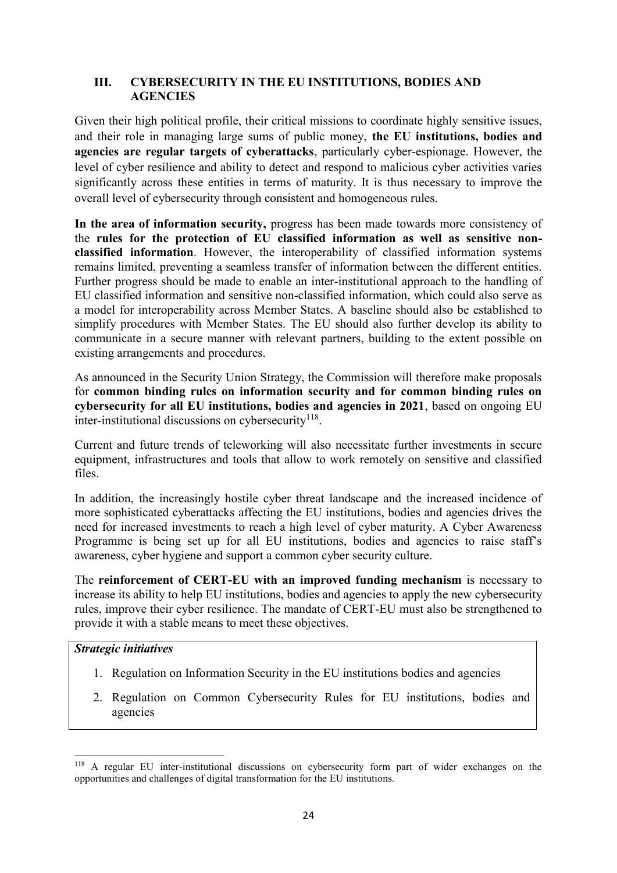### **III. CYBERSECURITY IN THE EU INSTITUTIONS, BODIES AND AGENCIES**

Given their high political profile, their critical missions to coordinate highly sensitive issues, and their role in managing large sums of public money, **the EU institutions, bodies and agencies are regular targets of cyberattacks**, particularly cyber-espionage. However, the level of cyber resilience and ability to detect and respond to malicious cyber activities varies significantly across these entities in terms of maturity. It is thus necessary to improve the overall level of cybersecurity through consistent and homogeneous rules.

**In the area of information security,** progress has been made towards more consistency of the **rules for the protection of EU classified information as well as sensitive nonclassified information**. However, the interoperability of classified information systems remains limited, preventing a seamless transfer of information between the different entities. Further progress should be made to enable an inter-institutional approach to the handling of EU classified information and sensitive non-classified information, which could also serve as a model for interoperability across Member States. A baseline should also be established to simplify procedures with Member States. The EU should also further develop its ability to communicate in a secure manner with relevant partners, building to the extent possible on existing arrangements and procedures.

As announced in the Security Union Strategy, the Commission will therefore make proposals for **common binding rules on information security and for common binding rules on cybersecurity for all EU institutions, bodies and agencies in 2021**, based on ongoing EU inter-institutional discussions on cybersecurity $^{118}$ .

Current and future trends of teleworking will also necessitate further investments in secure equipment, infrastructures and tools that allow to work remotely on sensitive and classified files.

In addition, the increasingly hostile cyber threat landscape and the increased incidence of more sophisticated cyberattacks affecting the EU institutions, bodies and agencies drives the need for increased investments to reach a high level of cyber maturity. A Cyber Awareness Programme is being set up for all EU institutions, bodies and agencies to raise staff's awareness, cyber hygiene and support a common cyber security culture.

The **reinforcement of CERT-EU with an improved funding mechanism** is necessary to increase its ability to help EU institutions, bodies and agencies to apply the new cybersecurity rules, improve their cyber resilience. The mandate of CERT-EU must also be strengthened to provide it with a stable means to meet these objectives.

### *Strategic initiatives*

1

- 1. Regulation on Information Security in the EU institutions bodies and agencies
- 2. Regulation on Common Cybersecurity Rules for EU institutions, bodies and agencies

<sup>118</sup> A regular EU inter-institutional discussions on cybersecurity form part of wider exchanges on the opportunities and challenges of digital transformation for the EU institutions.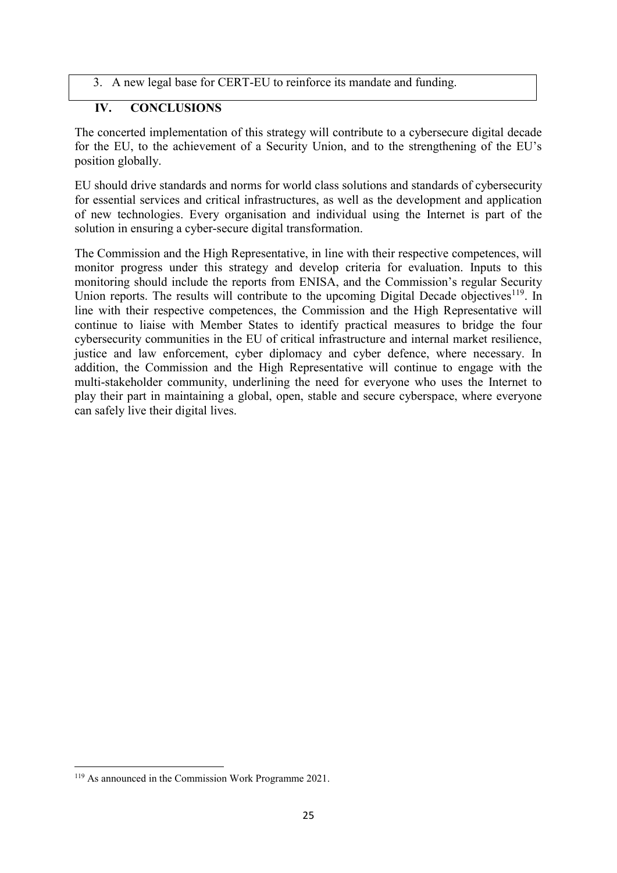3. A new legal base for CERT-EU to reinforce its mandate and funding.

### **IV. CONCLUSIONS**

The concerted implementation of this strategy will contribute to a cybersecure digital decade for the EU, to the achievement of a Security Union, and to the strengthening of the EU's position globally.

EU should drive standards and norms for world class solutions and standards of cybersecurity for essential services and critical infrastructures, as well as the development and application of new technologies. Every organisation and individual using the Internet is part of the solution in ensuring a cyber-secure digital transformation.

The Commission and the High Representative, in line with their respective competences, will monitor progress under this strategy and develop criteria for evaluation. Inputs to this monitoring should include the reports from ENISA, and the Commission's regular Security Union reports. The results will contribute to the upcoming Digital Decade objectives<sup>119</sup>. In line with their respective competences, the Commission and the High Representative will continue to liaise with Member States to identify practical measures to bridge the four cybersecurity communities in the EU of critical infrastructure and internal market resilience, justice and law enforcement, cyber diplomacy and cyber defence, where necessary. In addition, the Commission and the High Representative will continue to engage with the multi-stakeholder community, underlining the need for everyone who uses the Internet to play their part in maintaining a global, open, stable and secure cyberspace, where everyone can safely live their digital lives.

<sup>119</sup> As announced in the Commission Work Programme 2021.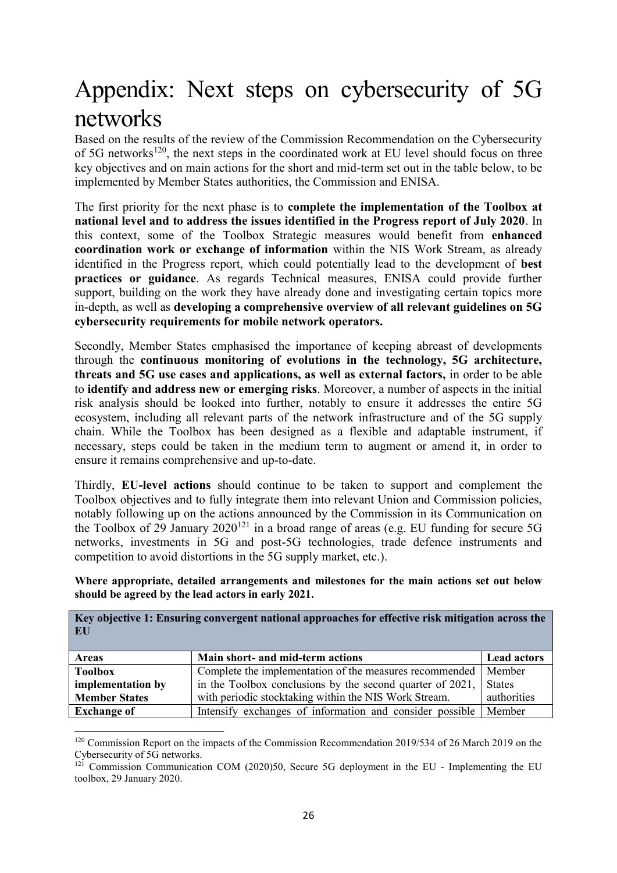# Appendix: Next steps on cybersecurity of 5G networks

Based on the results of the review of the Commission Recommendation on the Cybersecurity of 5G networks<sup>120</sup>, the next steps in the coordinated work at EU level should focus on three key objectives and on main actions for the short and mid-term set out in the table below, to be implemented by Member States authorities, the Commission and ENISA.

The first priority for the next phase is to **complete the implementation of the Toolbox at national level and to address the issues identified in the Progress report of July 2020**. In this context, some of the Toolbox Strategic measures would benefit from **enhanced coordination work or exchange of information** within the NIS Work Stream, as already identified in the Progress report, which could potentially lead to the development of **best practices or guidance**. As regards Technical measures, ENISA could provide further support, building on the work they have already done and investigating certain topics more in-depth, as well as **developing a comprehensive overview of all relevant guidelines on 5G cybersecurity requirements for mobile network operators.**

Secondly, Member States emphasised the importance of keeping abreast of developments through the **continuous monitoring of evolutions in the technology, 5G architecture, threats and 5G use cases and applications, as well as external factors,** in order to be able to **identify and address new or emerging risks**. Moreover, a number of aspects in the initial risk analysis should be looked into further, notably to ensure it addresses the entire 5G ecosystem, including all relevant parts of the network infrastructure and of the 5G supply chain. While the Toolbox has been designed as a flexible and adaptable instrument, if necessary, steps could be taken in the medium term to augment or amend it, in order to ensure it remains comprehensive and up-to-date.

Thirdly, **EU-level actions** should continue to be taken to support and complement the Toolbox objectives and to fully integrate them into relevant Union and Commission policies, notably following up on the actions announced by the Commission in its Communication on the Toolbox of 29 January  $2020^{121}$  in a broad range of areas (e.g. EU funding for secure 5G networks, investments in 5G and post-5G technologies, trade defence instruments and competition to avoid distortions in the 5G supply market, etc.).

**Where appropriate, detailed arrangements and milestones for the main actions set out below should be agreed by the lead actors in early 2021.**

| Key objective 1: Ensuring convergent national approaches for effective risk mitigation across the<br>EU |                                                           |                    |  |
|---------------------------------------------------------------------------------------------------------|-----------------------------------------------------------|--------------------|--|
| <b>Areas</b>                                                                                            | Main short- and mid-term actions                          | <b>Lead actors</b> |  |
| <b>Toolbox</b>                                                                                          | Complete the implementation of the measures recommended   | Member             |  |
| implementation by                                                                                       | in the Toolbox conclusions by the second quarter of 2021, | <b>States</b>      |  |
| <b>Member States</b>                                                                                    | with periodic stocktaking within the NIS Work Stream.     | authorities        |  |
| <b>Exchange of</b>                                                                                      | Intensify exchanges of information and consider possible  | Member             |  |

<sup>1</sup> <sup>120</sup> Commission Report on the impacts of the Commission Recommendation 2019/534 of 26 March 2019 on the Cybersecurity of 5G networks.

 $121$  Commission Communication COM (2020)50, Secure 5G deployment in the EU - Implementing the EU toolbox, 29 January 2020.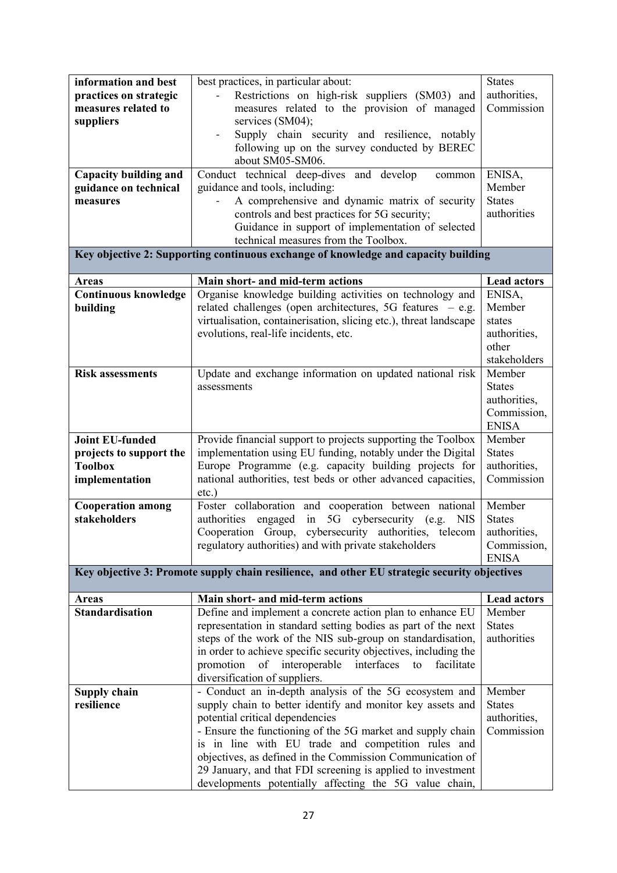| information and best         | best practices, in particular about:                                                                              | <b>States</b>               |
|------------------------------|-------------------------------------------------------------------------------------------------------------------|-----------------------------|
| practices on strategic       | Restrictions on high-risk suppliers (SM03) and                                                                    | authorities,                |
| measures related to          | measures related to the provision of managed                                                                      | Commission                  |
| suppliers                    | services (SM04);                                                                                                  |                             |
|                              | Supply chain security and resilience, notably<br>$\qquad \qquad \blacksquare$                                     |                             |
|                              | following up on the survey conducted by BEREC                                                                     |                             |
|                              | about SM05-SM06.                                                                                                  |                             |
| <b>Capacity building and</b> | Conduct technical deep-dives and develop<br>common                                                                | ENISA,                      |
| guidance on technical        | guidance and tools, including:                                                                                    | Member                      |
| measures                     | A comprehensive and dynamic matrix of security                                                                    | <b>States</b>               |
|                              | controls and best practices for 5G security;                                                                      | authorities                 |
|                              | Guidance in support of implementation of selected                                                                 |                             |
|                              | technical measures from the Toolbox.                                                                              |                             |
|                              | Key objective 2: Supporting continuous exchange of knowledge and capacity building                                |                             |
|                              |                                                                                                                   |                             |
| <b>Areas</b>                 | Main short- and mid-term actions                                                                                  | <b>Lead actors</b>          |
| <b>Continuous knowledge</b>  | Organise knowledge building activities on technology and                                                          | ENISA,                      |
| building                     | related challenges (open architectures, 5G features - e.g.                                                        | Member                      |
|                              | virtualisation, containerisation, slicing etc.), threat landscape                                                 | states                      |
|                              | evolutions, real-life incidents, etc.                                                                             | authorities,                |
|                              |                                                                                                                   | other                       |
|                              |                                                                                                                   | stakeholders                |
| <b>Risk assessments</b>      | Update and exchange information on updated national risk                                                          | Member                      |
|                              | assessments                                                                                                       | <b>States</b>               |
|                              |                                                                                                                   | authorities,                |
|                              |                                                                                                                   | Commission,                 |
| <b>Joint EU-funded</b>       |                                                                                                                   | <b>ENISA</b>                |
|                              | Provide financial support to projects supporting the Toolbox                                                      | Member<br><b>States</b>     |
|                              |                                                                                                                   |                             |
| projects to support the      | implementation using EU funding, notably under the Digital                                                        |                             |
| <b>Toolbox</b>               | Europe Programme (e.g. capacity building projects for                                                             | authorities,                |
| implementation               | national authorities, test beds or other advanced capacities,                                                     | Commission                  |
|                              | $etc.$ )                                                                                                          |                             |
| <b>Cooperation among</b>     | Foster collaboration and cooperation between national                                                             | Member                      |
| stakeholders                 | in<br>5G<br>cybersecurity (e.g.<br>authorities engaged<br><b>NIS</b>                                              | <b>States</b>               |
|                              | Cooperation Group,<br>cybersecurity authorities, telecom<br>regulatory authorities) and with private stakeholders | authorities,<br>Commission, |
|                              |                                                                                                                   | <b>ENISA</b>                |
|                              | Key objective 3: Promote supply chain resilience, and other EU strategic security objectives                      |                             |
|                              |                                                                                                                   |                             |
| <b>Areas</b>                 | Main short- and mid-term actions                                                                                  | <b>Lead actors</b>          |
| <b>Standardisation</b>       | Define and implement a concrete action plan to enhance EU                                                         | Member                      |
|                              | representation in standard setting bodies as part of the next                                                     | <b>States</b>               |
|                              | steps of the work of the NIS sub-group on standardisation,                                                        | authorities                 |
|                              | in order to achieve specific security objectives, including the                                                   |                             |
|                              | interfaces<br>promotion<br>interoperable<br>facilitate<br>to<br>of                                                |                             |
|                              | diversification of suppliers.                                                                                     |                             |
| <b>Supply chain</b>          | - Conduct an in-depth analysis of the 5G ecosystem and                                                            | Member                      |
| resilience                   | supply chain to better identify and monitor key assets and                                                        | <b>States</b>               |
|                              | potential critical dependencies                                                                                   | authorities,<br>Commission  |
|                              | - Ensure the functioning of the 5G market and supply chain                                                        |                             |
|                              | is in line with EU trade and competition rules and<br>objectives, as defined in the Commission Communication of   |                             |
|                              | 29 January, and that FDI screening is applied to investment                                                       |                             |